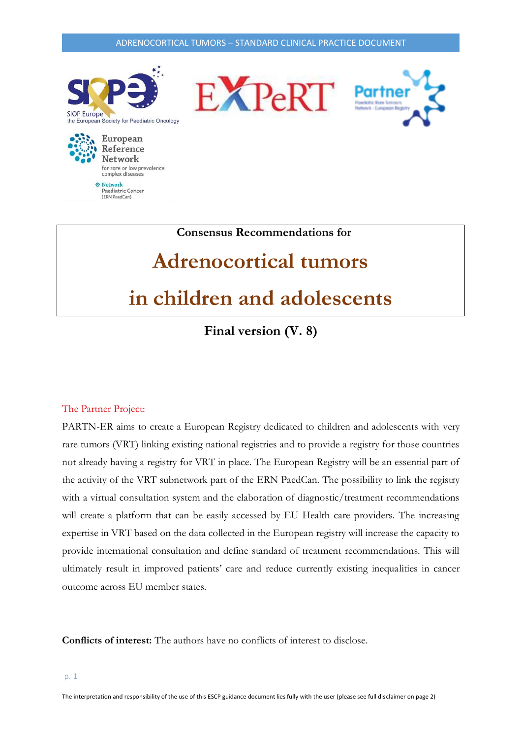

 **Consensus Recommendations for** 

# **Adrenocortical tumors**

## **in children and adolescents**

**Final version (V. 8)**

#### The Partner Project:

PARTN-ER aims to create a European Registry dedicated to children and adolescents with very rare tumors (VRT) linking existing national registries and to provide a registry for those countries not already having a registry for VRT in place. The European Registry will be an essential part of the activity of the VRT subnetwork part of the ERN PaedCan. The possibility to link the registry with a virtual consultation system and the elaboration of diagnostic/treatment recommendations will create a platform that can be easily accessed by EU Health care providers. The increasing expertise in VRT based on the data collected in the European registry will increase the capacity to provide international consultation and define standard of treatment recommendations. This will ultimately result in improved patients' care and reduce currently existing inequalities in cancer outcome across EU member states.

**Conflicts of interest:** The authors have no conflicts of interest to disclose.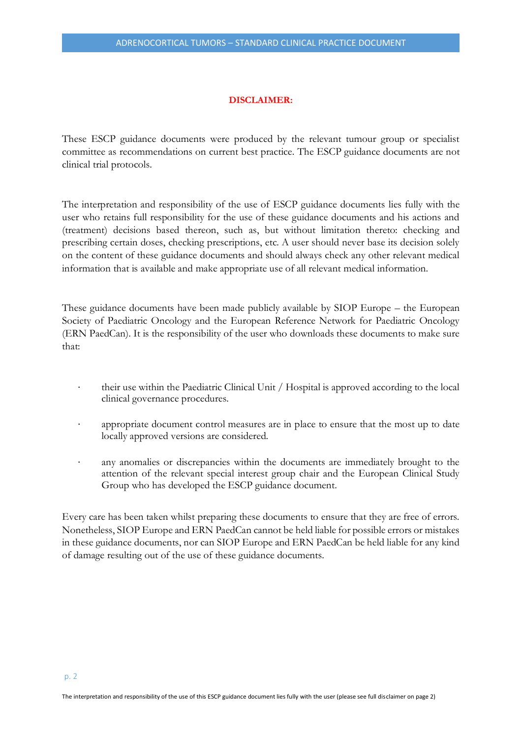#### **DISCLAIMER:**

These ESCP guidance documents were produced by the relevant tumour group or specialist committee as recommendations on current best practice. The ESCP guidance documents are not clinical trial protocols.

The interpretation and responsibility of the use of ESCP guidance documents lies fully with the user who retains full responsibility for the use of these guidance documents and his actions and (treatment) decisions based thereon, such as, but without limitation thereto: checking and prescribing certain doses, checking prescriptions, etc. A user should never base its decision solely on the content of these guidance documents and should always check any other relevant medical information that is available and make appropriate use of all relevant medical information.

These guidance documents have been made publicly available by SIOP Europe – the European Society of Paediatric Oncology and the European Reference Network for Paediatric Oncology (ERN PaedCan). It is the responsibility of the user who downloads these documents to make sure that:

- their use within the Paediatric Clinical Unit / Hospital is approved according to the local clinical governance procedures.
- appropriate document control measures are in place to ensure that the most up to date locally approved versions are considered.
- any anomalies or discrepancies within the documents are immediately brought to the attention of the relevant special interest group chair and the European Clinical Study Group who has developed the ESCP guidance document.

Every care has been taken whilst preparing these documents to ensure that they are free of errors. Nonetheless, SIOP Europe and ERN PaedCan cannot be held liable for possible errors or mistakes in these guidance documents, nor can SIOP Europe and ERN PaedCan be held liable for any kind of damage resulting out of the use of these guidance documents.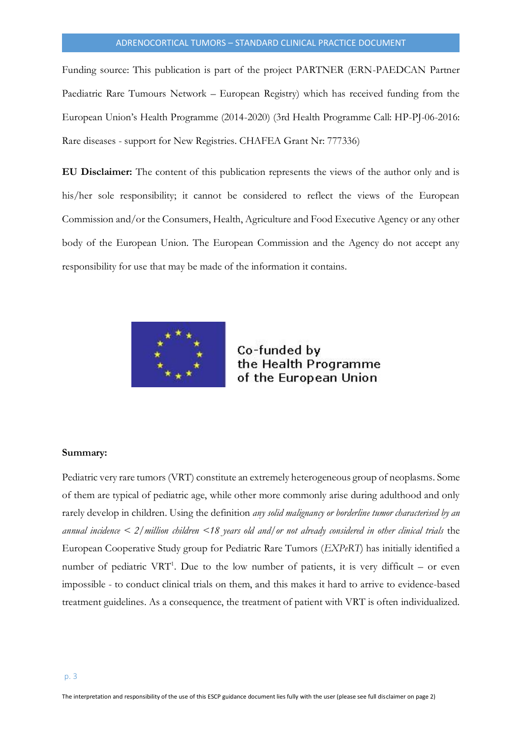Funding source: This publication is part of the project PARTNER (ERN-PAEDCAN Partner Paediatric Rare Tumours Network – European Registry) which has received funding from the European Union's Health Programme (2014-2020) (3rd Health Programme Call: HP-PJ-06-2016: Rare diseases - support for New Registries. CHAFEA Grant Nr: 777336)

**EU Disclaimer:** The content of this publication represents the views of the author only and is his/her sole responsibility; it cannot be considered to reflect the views of the European Commission and/or the Consumers, Health, Agriculture and Food Executive Agency or any other body of the European Union. The European Commission and the Agency do not accept any responsibility for use that may be made of the information it contains.



Co-funded by the Health Programme of the European Union

#### **Summary:**

Pediatric very rare tumors (VRT) constitute an extremely heterogeneous group of neoplasms. Some of them are typical of pediatric age, while other more commonly arise during adulthood and only rarely develop in children. Using the definition *any solid malignancy or borderline tumor characterised by an annual incidence < 2/million children <18 years old and/or not already considered in other clinical trials* the European Cooperative Study group for Pediatric Rare Tumors (*EXPeRT*) has initially identified a number of pediatric VRT<sup>1</sup>. Due to the low number of patients, it is very difficult  $-$  or even impossible - to conduct clinical trials on them, and this makes it hard to arrive to evidence-based treatment guidelines. As a consequence, the treatment of patient with VRT is often individualized.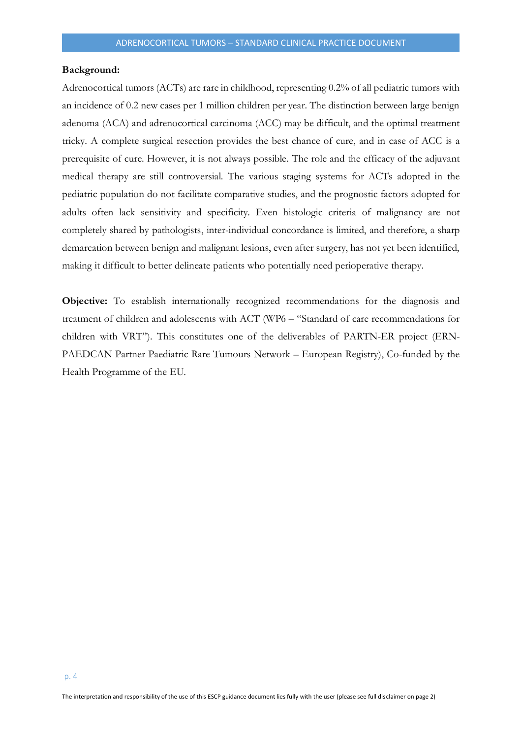#### **Background:**

Adrenocortical tumors (ACTs) are rare in childhood, representing 0.2% of all pediatric tumors with an incidence of 0.2 new cases per 1 million children per year. The distinction between large benign adenoma (ACA) and adrenocortical carcinoma (ACC) may be difficult, and the optimal treatment tricky. A complete surgical resection provides the best chance of cure, and in case of ACC is a prerequisite of cure. However, it is not always possible. The role and the efficacy of the adjuvant medical therapy are still controversial. The various staging systems for ACTs adopted in the pediatric population do not facilitate comparative studies, and the prognostic factors adopted for adults often lack sensitivity and specificity. Even histologic criteria of malignancy are not completely shared by pathologists, inter-individual concordance is limited, and therefore, a sharp demarcation between benign and malignant lesions, even after surgery, has not yet been identified, making it difficult to better delineate patients who potentially need perioperative therapy.

**Objective:** To establish internationally recognized recommendations for the diagnosis and treatment of children and adolescents with ACT (WP6 – "Standard of care recommendations for children with VRT"). This constitutes one of the deliverables of PARTN-ER project (ERN-PAEDCAN Partner Paediatric Rare Tumours Network – European Registry), Co-funded by the Health Programme of the EU.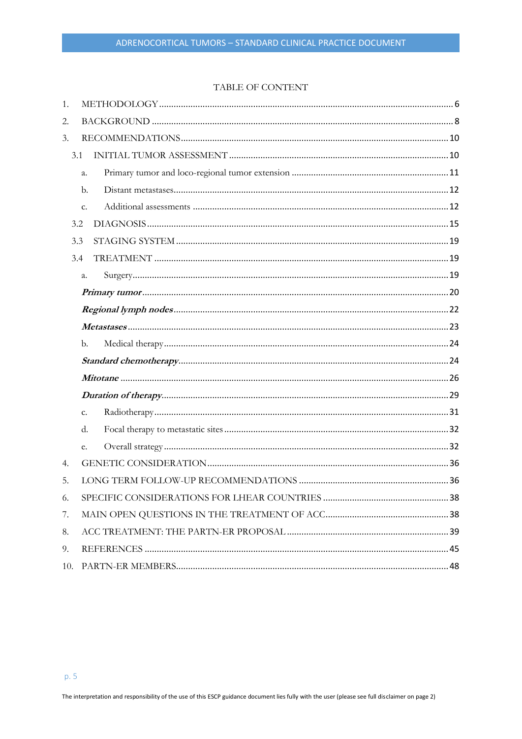#### TABLE OF CONTENT

| 1.  |     |  |  |
|-----|-----|--|--|
| 2.  |     |  |  |
| 3.  |     |  |  |
|     | 3.1 |  |  |
|     | a.  |  |  |
|     | b.  |  |  |
|     | c.  |  |  |
|     | 3.2 |  |  |
|     | 3.3 |  |  |
|     | 3.4 |  |  |
|     | a.  |  |  |
|     |     |  |  |
|     |     |  |  |
|     |     |  |  |
|     | b.  |  |  |
|     |     |  |  |
|     |     |  |  |
|     |     |  |  |
|     | c.  |  |  |
|     | d.  |  |  |
|     | e.  |  |  |
| 4.  |     |  |  |
| 5.  |     |  |  |
| 6.  |     |  |  |
| 7.  |     |  |  |
| 8.  |     |  |  |
| 9.  |     |  |  |
| 10. |     |  |  |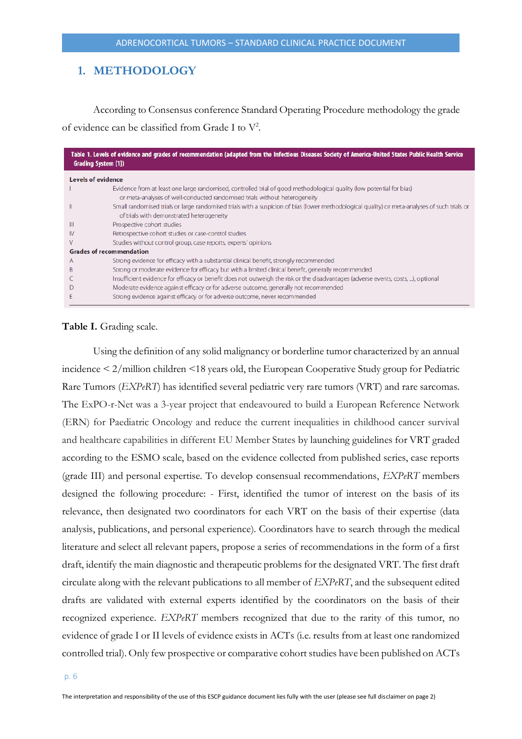## <span id="page-5-0"></span>**1. METHODOLOGY**

According to Consensus conference Standard Operating Procedure methodology the grade of evidence can be classified from Grade I to  $V^2$ .

| Table 1. Levels of evidence and grades of recommendation (adapted from the Infectious Diseases Society of America-United States Public Health Service<br><b>Grading System [1])</b> |                                                                                                                                                                                                     |  |
|-------------------------------------------------------------------------------------------------------------------------------------------------------------------------------------|-----------------------------------------------------------------------------------------------------------------------------------------------------------------------------------------------------|--|
|                                                                                                                                                                                     | <b>Levels of evidence</b>                                                                                                                                                                           |  |
|                                                                                                                                                                                     | Evidence from at least one large randomised, controlled trial of good methodological quality (low potential for bias)<br>or meta-analyses of well-conducted randomised trials without heterogeneity |  |
|                                                                                                                                                                                     | Small randomised trials or large randomised trials with a suspicion of bias (lower methodological quality) or meta-analyses of such trials or<br>of trials with demonstrated heterogeneity          |  |
| Ш                                                                                                                                                                                   | Prospective cohort studies                                                                                                                                                                          |  |
| IV                                                                                                                                                                                  | Retrospective cohort studies or case-control studies                                                                                                                                                |  |
| v                                                                                                                                                                                   | Studies without control group, case reports, experts' opinions                                                                                                                                      |  |
|                                                                                                                                                                                     | <b>Grades of recommendation</b>                                                                                                                                                                     |  |
| A                                                                                                                                                                                   | Strong evidence for efficacy with a substantial clinical benefit, strongly recommended                                                                                                              |  |
| B                                                                                                                                                                                   | Strong or moderate evidence for efficacy but with a limited clinical benefit, generally recommended                                                                                                 |  |
|                                                                                                                                                                                     | Insufficient evidence for efficacy or benefit does not outweigh the risk or the disadvantages (adverse events, costs, ), optional                                                                   |  |
|                                                                                                                                                                                     | Moderate evidence against efficacy or for adverse outcome, generally not recommended                                                                                                                |  |
|                                                                                                                                                                                     | Strong evidence against efficacy or for adverse outcome, never recommended                                                                                                                          |  |

#### **Table I.** Grading scale.

Using the definition of any solid malignancy or borderline tumor characterized by an annual incidence < 2/million children <18 years old, the European Cooperative Study group for Pediatric Rare Tumors (*EXPeRT*) has identified several pediatric very rare tumors (VRT) and rare sarcomas. The ExPO-r-Net was a 3-year project that endeavoured to build a European Reference Network (ERN) for Paediatric Oncology and reduce the current inequalities in childhood cancer survival and healthcare capabilities in different EU Member States by launching guidelines for VRT graded according to the ESMO scale, based on the evidence collected from published series, case reports (grade III) and personal expertise. To develop consensual recommendations, *EXPeRT* members designed the following procedure: - First, identified the tumor of interest on the basis of its relevance, then designated two coordinators for each VRT on the basis of their expertise (data analysis, publications, and personal experience). Coordinators have to search through the medical literature and select all relevant papers, propose a series of recommendations in the form of a first draft, identify the main diagnostic and therapeutic problems for the designated VRT. The first draft circulate along with the relevant publications to all member of *EXPeRT*, and the subsequent edited drafts are validated with external experts identified by the coordinators on the basis of their recognized experience. *EXPeRT* members recognized that due to the rarity of this tumor, no evidence of grade I or II levels of evidence exists in ACTs (i.e. results from at least one randomized controlled trial). Only few prospective or comparative cohort studies have been published on ACTs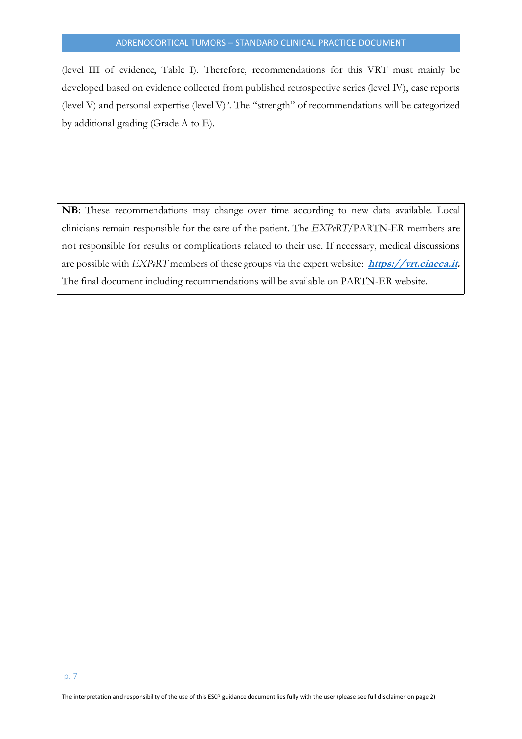(level III of evidence, Table I). Therefore, recommendations for this VRT must mainly be developed based on evidence collected from published retrospective series (level IV), case reports (level V) and personal expertise (level V)<sup>3</sup>. The "strength" of recommendations will be categorized by additional grading (Grade A to E).

**NB**: These recommendations may change over time according to new data available. Local clinicians remain responsible for the care of the patient. The *EXPeRT*/PARTN-ER members are not responsible for results or complications related to their use. If necessary, medical discussions are possible with *EXPeRT* members of these groups via the expert website: **[https://vrt.cineca.it.](https://vrt.cineca.it/)**  The final document including recommendations will be available on PARTN-ER website.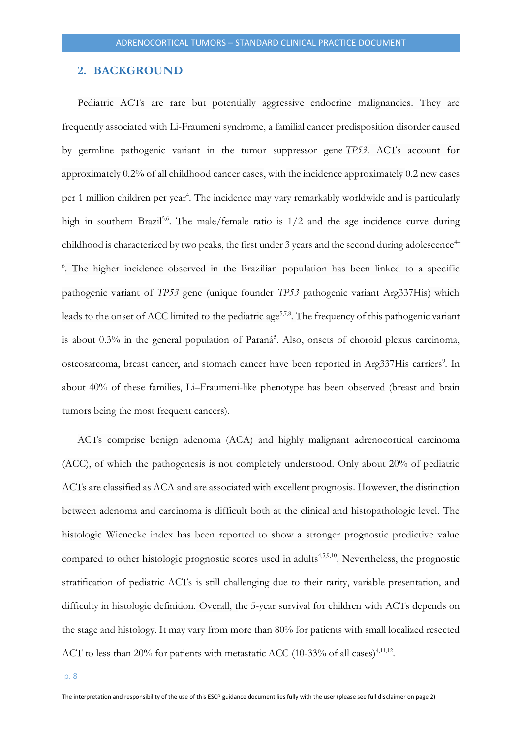#### <span id="page-7-0"></span>**2. BACKGROUND**

Pediatric ACTs are rare but potentially aggressive endocrine malignancies. They are frequently associated with Li-Fraumeni syndrome, a familial cancer predisposition disorder caused by germline pathogenic variant in the tumor suppressor gene *TP53*. ACTs account for approximately 0.2% of all childhood cancer cases, with the incidence approximately 0.2 new cases per 1 million children per year<sup>4</sup>. The incidence may vary remarkably worldwide and is particularly high in southern Brazil<sup>5,6</sup>. The male/female ratio is  $1/2$  and the age incidence curve during childhood is characterized by two peaks, the first under 3 years and the second during adolescence<sup> $+$ </sup> <sup>6</sup>. The higher incidence observed in the Brazilian population has been linked to a specific pathogenic variant of *TP53* gene (unique founder *TP53* pathogenic variant Arg337His) which leads to the onset of ACC limited to the pediatric age<sup>5,7,8</sup>. The frequency of this pathogenic variant is about 0.3% in the general population of Paraná<sup>5</sup>. Also, onsets of choroid plexus carcinoma, osteosarcoma, breast cancer, and stomach cancer have been reported in Arg337His carriers<sup>9</sup>. In about 40% of these families, Li–Fraumeni-like phenotype has been observed (breast and brain tumors being the most frequent cancers).

ACTs comprise benign adenoma (ACA) and highly malignant adrenocortical carcinoma (ACC), of which the pathogenesis is not completely understood. Only about 20% of pediatric ACTs are classified as ACA and are associated with excellent prognosis. However, the distinction between adenoma and carcinoma is difficult both at the clinical and histopathologic level. The histologic Wienecke index has been reported to show a stronger prognostic predictive value compared to other histologic prognostic scores used in adults<sup>4,5,9,10</sup>. Nevertheless, the prognostic stratification of pediatric ACTs is still challenging due to their rarity, variable presentation, and difficulty in histologic definition. Overall, the 5-year survival for children with ACTs depends on the stage and histology. It may vary from more than 80% for patients with small localized resected ACT to less than 20% for patients with metastatic ACC (10-33% of all cases)<sup>4,11,12</sup>.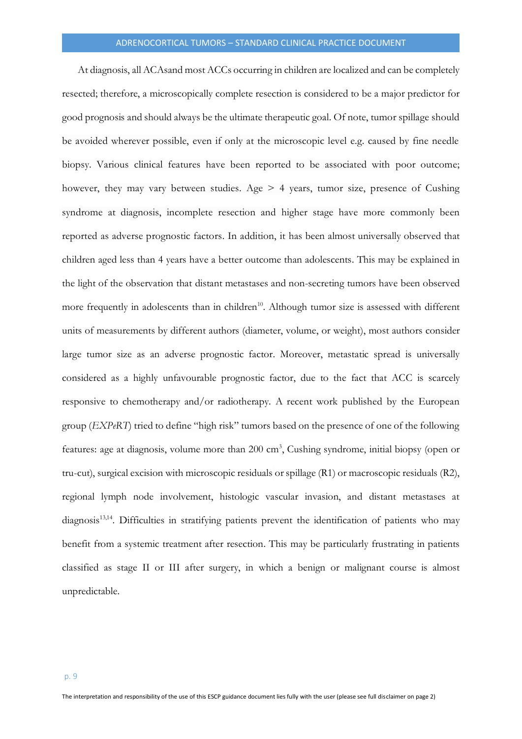At diagnosis, all ACAsand most ACCs occurring in children are localized and can be completely resected; therefore, a microscopically complete resection is considered to be a major predictor for good prognosis and should always be the ultimate therapeutic goal. Of note, tumor spillage should be avoided wherever possible, even if only at the microscopic level e.g. caused by fine needle biopsy. Various clinical features have been reported to be associated with poor outcome; however, they may vary between studies. Age  $> 4$  years, tumor size, presence of Cushing syndrome at diagnosis, incomplete resection and higher stage have more commonly been reported as adverse prognostic factors. In addition, it has been almost universally observed that children aged less than 4 years have a better outcome than adolescents. This may be explained in the light of the observation that distant metastases and non-secreting tumors have been observed more frequently in adolescents than in children<sup>10</sup>. Although tumor size is assessed with different units of measurements by different authors (diameter, volume, or weight), most authors consider large tumor size as an adverse prognostic factor. Moreover, metastatic spread is universally considered as a highly unfavourable prognostic factor, due to the fact that ACC is scarcely responsive to chemotherapy and/or radiotherapy. A recent work published by the European group (*EXPeRT*) tried to define "high risk" tumors based on the presence of one of the following features: age at diagnosis, volume more than 200 cm<sup>3</sup>, Cushing syndrome, initial biopsy (open or tru-cut), surgical excision with microscopic residuals or spillage (R1) or macroscopic residuals (R2), regional lymph node involvement, histologic vascular invasion, and distant metastases at diagnosis<sup>13,14</sup>. Difficulties in stratifying patients prevent the identification of patients who may benefit from a systemic treatment after resection. This may be particularly frustrating in patients classified as stage II or III after surgery, in which a benign or malignant course is almost unpredictable.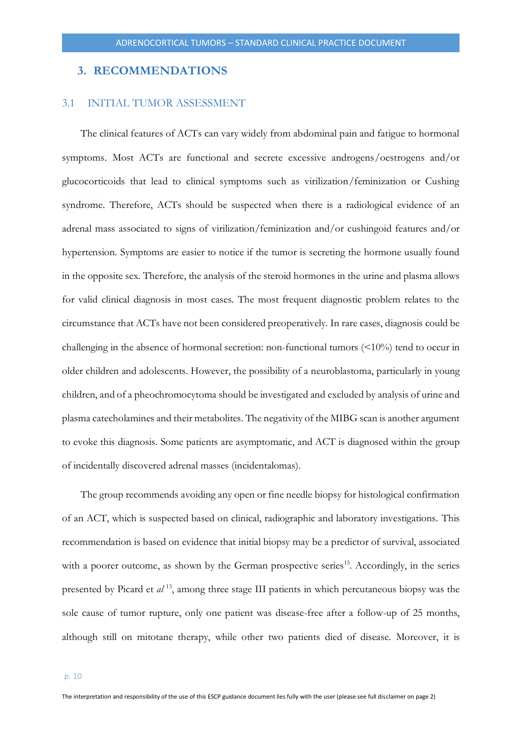#### <span id="page-9-0"></span>**3. RECOMMENDATIONS**

#### <span id="page-9-1"></span>3.1 INITIAL TUMOR ASSESSMENT

The clinical features of ACTs can vary widely from abdominal pain and fatigue to hormonal symptoms. Most ACTs are functional and secrete excessive androgens/oestrogens and/or glucocorticoids that lead to clinical symptoms such as virilization/feminization or Cushing syndrome. Therefore, ACTs should be suspected when there is a radiological evidence of an adrenal mass associated to signs of virilization/feminization and/or cushingoid features and/or hypertension. Symptoms are easier to notice if the tumor is secreting the hormone usually found in the opposite sex. Therefore, the analysis of the steroid hormones in the urine and plasma allows for valid clinical diagnosis in most cases. The most frequent diagnostic problem relates to the circumstance that ACTs have not been considered preoperatively. In rare cases, diagnosis could be challenging in the absence of hormonal secretion: non-functional tumors  $(510\%)$  tend to occur in older children and adolescents. However, the possibility of a neuroblastoma, particularly in young children, and of a pheochromocytoma should be investigated and excluded by analysis of urine and plasma catecholamines and their metabolites. The negativity of the MIBG scan is another argument to evoke this diagnosis. Some patients are asymptomatic, and ACT is diagnosed within the group of incidentally discovered adrenal masses (incidentalomas).

The group recommends avoiding any open or fine needle biopsy for histological confirmation of an ACT, which is suspected based on clinical, radiographic and laboratory investigations. This recommendation is based on evidence that initial biopsy may be a predictor of survival, associated with a poorer outcome, as shown by the German prospective series<sup>15</sup>. Accordingly, in the series presented by Picard et *al* <sup>13</sup>, among three stage III patients in which percutaneous biopsy was the sole cause of tumor rupture, only one patient was disease-free after a follow-up of 25 months, although still on mitotane therapy, while other two patients died of disease. Moreover, it is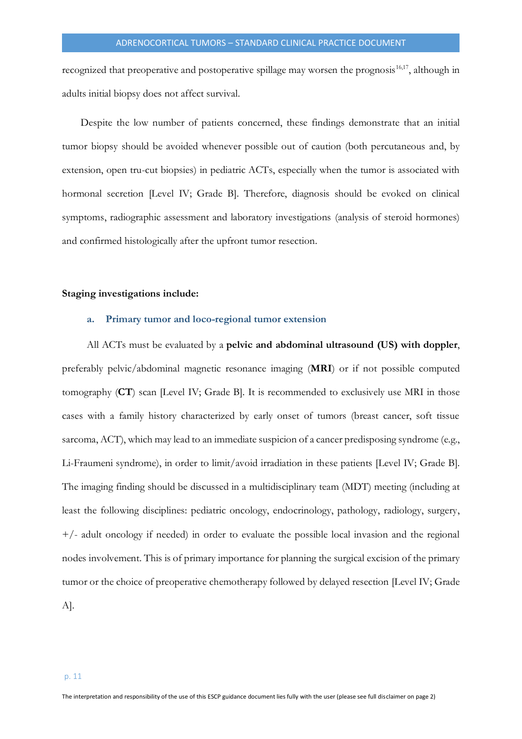recognized that preoperative and postoperative spillage may worsen the prognosis<sup>16,17</sup>, although in adults initial biopsy does not affect survival.

Despite the low number of patients concerned, these findings demonstrate that an initial tumor biopsy should be avoided whenever possible out of caution (both percutaneous and, by extension, open tru-cut biopsies) in pediatric ACTs, especially when the tumor is associated with hormonal secretion [Level IV; Grade B]. Therefore, diagnosis should be evoked on clinical symptoms, radiographic assessment and laboratory investigations (analysis of steroid hormones) and confirmed histologically after the upfront tumor resection.

## <span id="page-10-0"></span>**Staging investigations include:**

#### **a. Primary tumor and loco-regional tumor extension**

All ACTs must be evaluated by a **pelvic and abdominal ultrasound (US) with doppler**, preferably pelvic/abdominal magnetic resonance imaging (**MRI**) or if not possible computed tomography (**CT**) scan [Level IV; Grade B]. It is recommended to exclusively use MRI in those cases with a family history characterized by early onset of tumors (breast cancer, soft tissue sarcoma, ACT), which may lead to an immediate suspicion of a cancer predisposing syndrome (e.g., Li-Fraumeni syndrome), in order to limit/avoid irradiation in these patients [Level IV; Grade B]. The imaging finding should be discussed in a multidisciplinary team (MDT) meeting (including at least the following disciplines: pediatric oncology, endocrinology, pathology, radiology, surgery,  $+/-$  adult oncology if needed) in order to evaluate the possible local invasion and the regional nodes involvement. This is of primary importance for planning the surgical excision of the primary tumor or the choice of preoperative chemotherapy followed by delayed resection [Level IV; Grade A].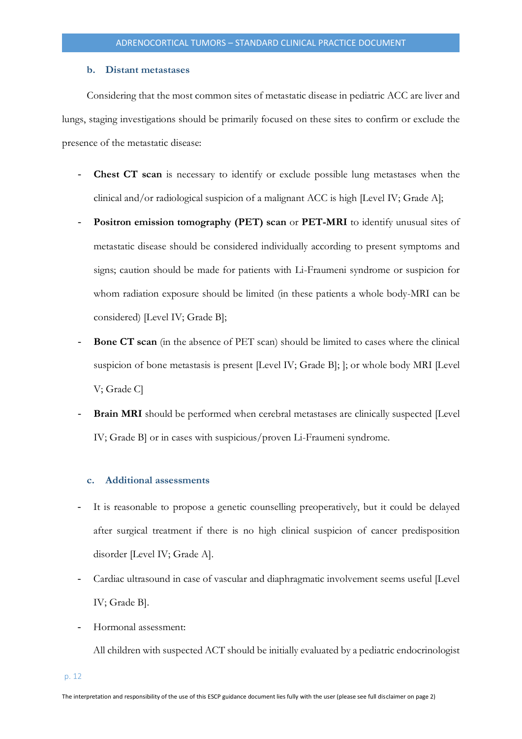#### **b. Distant metastases**

<span id="page-11-0"></span>Considering that the most common sites of metastatic disease in pediatric ACC are liver and lungs, staging investigations should be primarily focused on these sites to confirm or exclude the presence of the metastatic disease:

- **Chest CT scan** is necessary to identify or exclude possible lung metastases when the clinical and/or radiological suspicion of a malignant ACC is high [Level IV; Grade A];
- Positron emission tomography (PET) scan or PET-MRI to identify unusual sites of metastatic disease should be considered individually according to present symptoms and signs; caution should be made for patients with Li-Fraumeni syndrome or suspicion for whom radiation exposure should be limited (in these patients a whole body-MRI can be considered) [Level IV; Grade B];
- **Bone CT scan** (in the absence of PET scan) should be limited to cases where the clinical suspicion of bone metastasis is present [Level IV; Grade B]; ]; or whole body MRI [Level V; Grade C]
- **Brain MRI** should be performed when cerebral metastases are clinically suspected [Level IV; Grade B] or in cases with suspicious/proven Li-Fraumeni syndrome.

#### <span id="page-11-1"></span>**c. Additional assessments**

- It is reasonable to propose a genetic counselling preoperatively, but it could be delayed after surgical treatment if there is no high clinical suspicion of cancer predisposition disorder [Level IV; Grade A].
- Cardiac ultrasound in case of vascular and diaphragmatic involvement seems useful [Level IV; Grade B].
- Hormonal assessment:

All children with suspected ACT should be initially evaluated by a pediatric endocrinologist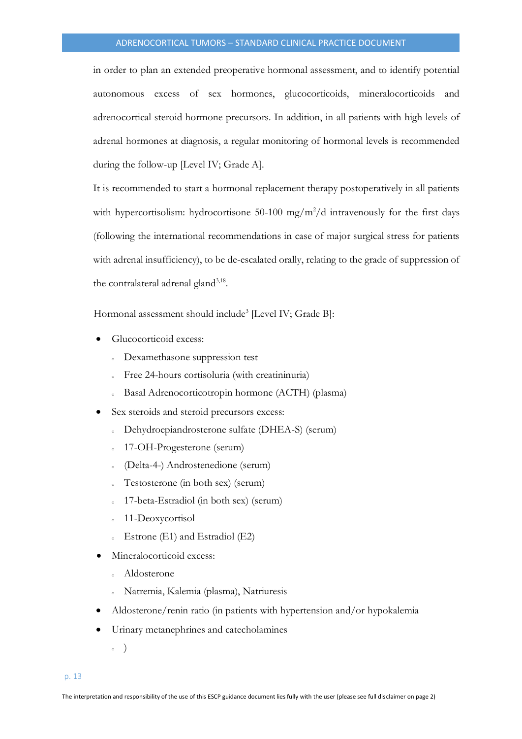in order to plan an extended preoperative hormonal assessment, and to identify potential autonomous excess of sex hormones, glucocorticoids, mineralocorticoids and adrenocortical steroid hormone precursors. In addition, in all patients with high levels of adrenal hormones at diagnosis, a regular monitoring of hormonal levels is recommended during the follow-up [Level IV; Grade A].

It is recommended to start a hormonal replacement therapy postoperatively in all patients with hypercortisolism: hydrocortisone 50-100 mg/m<sup>2</sup>/d intravenously for the first days (following the international recommendations in case of major surgical stress for patients with adrenal insufficiency), to be de-escalated orally, relating to the grade of suppression of the contralateral adrenal gland<sup>3,18</sup>.

Hormonal assessment should include<sup>3</sup> [Level IV; Grade B]:

- Glucocorticoid excess:
	- <sup>o</sup> Dexamethasone suppression test
	- Free 24-hours cortisoluria (with creatininuria)
	- Basal Adrenocorticotropin hormone (ACTH) (plasma)
- Sex steroids and steroid precursors excess:
	- Dehydroepiandrosterone sulfate (DHEA-S) (serum)
	- <sup>o</sup> 17-OH-Progesterone (serum)
	- <sup>o</sup> (Delta-4-) Androstenedione (serum)
	- Testosterone (in both sex) (serum)
	- 17-beta-Estradiol (in both sex) (serum)
	- 11-Deoxycortisol
	- $\epsilon$  Estrone (E1) and Estradiol (E2)
- Mineralocorticoid excess:
	- Aldosterone
	- <sup>o</sup> Natremia, Kalemia (plasma), Natriuresis
- Aldosterone/renin ratio (in patients with hypertension and/or hypokalemia
- Urinary metanephrines and catecholamines
	- $\circ$  )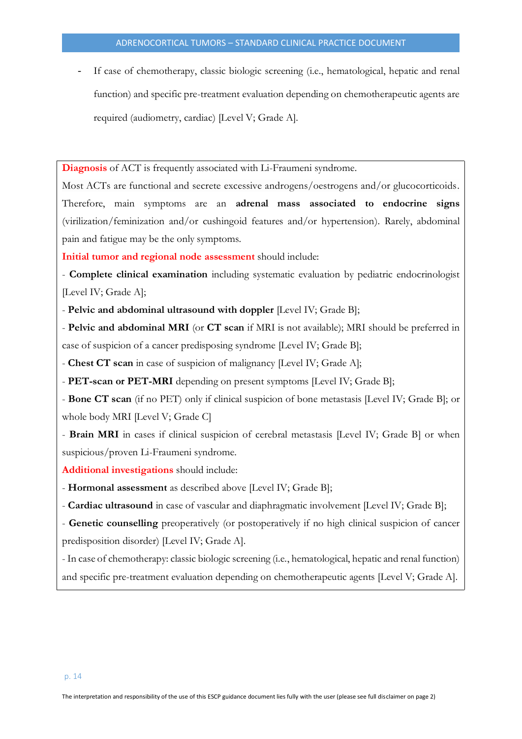If case of chemotherapy, classic biologic screening (i.e., hematological, hepatic and renal function) and specific pre-treatment evaluation depending on chemotherapeutic agents are required (audiometry, cardiac) [Level V; Grade A].

**Diagnosis** of ACT is frequently associated with Li-Fraumeni syndrome.

Most ACTs are functional and secrete excessive androgens/oestrogens and/or glucocorticoids. Therefore, main symptoms are an **adrenal mass associated to endocrine signs** (virilization/feminization and/or cushingoid features and/or hypertension). Rarely, abdominal pain and fatigue may be the only symptoms.

**Initial tumor and regional node assessment** should include:

- **Complete clinical examination** including systematic evaluation by pediatric endocrinologist [Level IV; Grade A];

- **Pelvic and abdominal ultrasound with doppler** [Level IV; Grade B];

- **Pelvic and abdominal MRI** (or **CT scan** if MRI is not available); MRI should be preferred in case of suspicion of a cancer predisposing syndrome [Level IV; Grade B];

- **Chest CT scan** in case of suspicion of malignancy [Level IV; Grade A];

- **PET-scan or PET-MRI** depending on present symptoms [Level IV; Grade B];

- **Bone CT scan** (if no PET) only if clinical suspicion of bone metastasis [Level IV; Grade B]; or whole body MRI [Level V; Grade C]

- **Brain MRI** in cases if clinical suspicion of cerebral metastasis [Level IV; Grade B] or when suspicious/proven Li-Fraumeni syndrome.

**Additional investigations** should include:

- **Hormonal assessment** as described above [Level IV; Grade B];

- **Cardiac ultrasound** in case of vascular and diaphragmatic involvement [Level IV; Grade B];

- **Genetic counselling** preoperatively (or postoperatively if no high clinical suspicion of cancer predisposition disorder) [Level IV; Grade A].

- In case of chemotherapy: classic biologic screening (i.e., hematological, hepatic and renal function) and specific pre-treatment evaluation depending on chemotherapeutic agents [Level V; Grade A].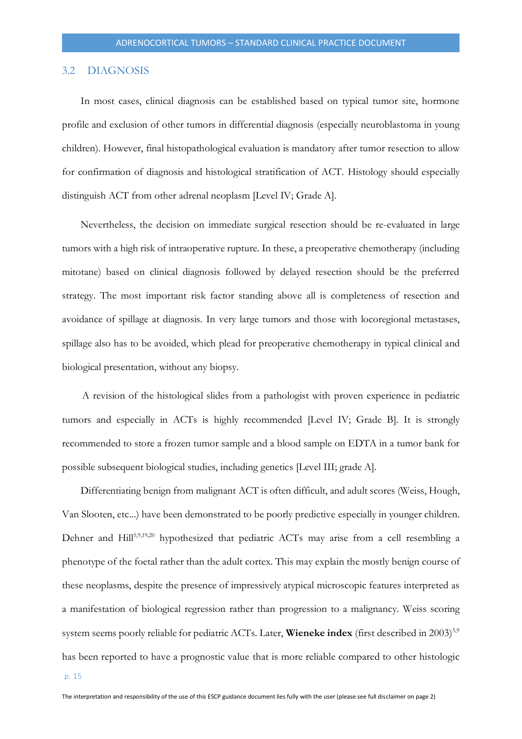#### <span id="page-14-0"></span>3.2 DIAGNOSIS

In most cases, clinical diagnosis can be established based on typical tumor site, hormone profile and exclusion of other tumors in differential diagnosis (especially neuroblastoma in young children). However, final histopathological evaluation is mandatory after tumor resection to allow for confirmation of diagnosis and histological stratification of ACT. Histology should especially distinguish ACT from other adrenal neoplasm [Level IV; Grade A].

Nevertheless, the decision on immediate surgical resection should be re-evaluated in large tumors with a high risk of intraoperative rupture. In these, a preoperative chemotherapy (including mitotane) based on clinical diagnosis followed by delayed resection should be the preferred strategy. The most important risk factor standing above all is completeness of resection and avoidance of spillage at diagnosis. In very large tumors and those with locoregional metastases, spillage also has to be avoided, which plead for preoperative chemotherapy in typical clinical and biological presentation, without any biopsy.

A revision of the histological slides from a pathologist with proven experience in pediatric tumors and especially in ACTs is highly recommended [Level IV; Grade B]. It is strongly recommended to store a frozen tumor sample and a blood sample on EDTA in a tumor bank for possible subsequent biological studies, including genetics [Level III; grade A].

Differentiating benign from malignant ACT is often difficult, and adult scores (Weiss, Hough, Van Slooten, etc...) have been demonstrated to be poorly predictive especially in younger children. Dehner and Hill<sup>5,9,19,20</sup> hypothesized that pediatric ACTs may arise from a cell resembling a phenotype of the foetal rather than the adult cortex. This may explain the mostly benign course of these neoplasms, despite the presence of impressively atypical microscopic features interpreted as a manifestation of biological regression rather than progression to a malignancy. Weiss scoring system seems poorly reliable for pediatric ACTs. Later, **Wieneke index** (first described in 2003)<sup>5,9</sup> has been reported to have a prognostic value that is more reliable compared to other histologic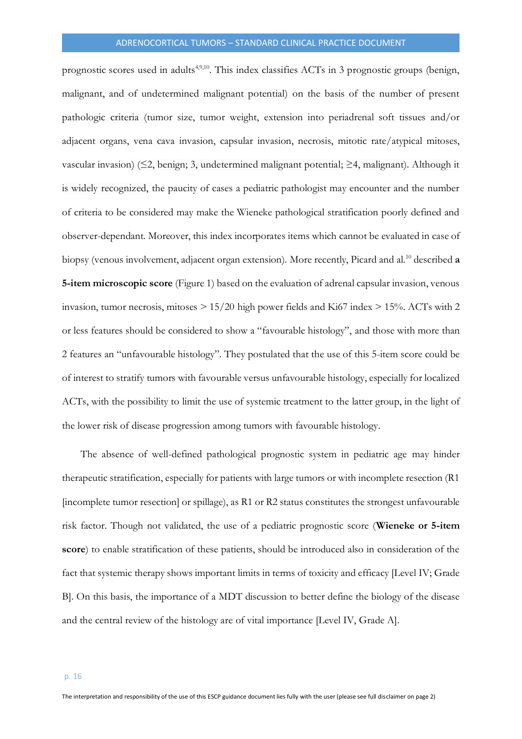prognostic scores used in adults<sup>4,9,10</sup>. This index classifies ACTs in 3 prognostic groups (benign, malignant, and of undetermined malignant potential) on the basis of the number of present pathologic criteria (tumor size, tumor weight, extension into periadrenal soft tissues and/or adjacent organs, vena cava invasion, capsular invasion, necrosis, mitotic rate/atypical mitoses, vascular invasion) (≤2, benign; 3, undetermined malignant potential; ≥4, malignant). Although it is widely recognized, the paucity of cases a pediatric pathologist may encounter and the number of criteria to be considered may make the Wieneke pathological stratification poorly defined and observer-dependant. Moreover, this index incorporates items which cannot be evaluated in case of biopsy (venous involvement, adjacent organ extension). More recently, Picard and al.<sup>10</sup> described **a 5-item microscopic score** (Figure 1) based on the evaluation of adrenal capsular invasion, venous invasion, tumor necrosis, mitoses  $> 15/20$  high power fields and Ki67 index  $> 15%$ . ACTs with 2 or less features should be considered to show a "favourable histology", and those with more than 2 features an "unfavourable histology". They postulated that the use of this 5-item score could be of interest to stratify tumors with favourable versus unfavourable histology, especially for localized ACTs, with the possibility to limit the use of systemic treatment to the latter group, in the light of the lower risk of disease progression among tumors with favourable histology.

The absence of well-defined pathological prognostic system in pediatric age may hinder therapeutic stratification, especially for patients with large tumors or with incomplete resection (R1 [incomplete tumor resection] or spillage), as R1 or R2 status constitutes the strongest unfavourable risk factor. Though not validated, the use of a pediatric prognostic score (**Wieneke or 5-item score**) to enable stratification of these patients, should be introduced also in consideration of the fact that systemic therapy shows important limits in terms of toxicity and efficacy [Level IV; Grade B]. On this basis, the importance of a MDT discussion to better define the biology of the disease and the central review of the histology are of vital importance [Level IV, Grade A].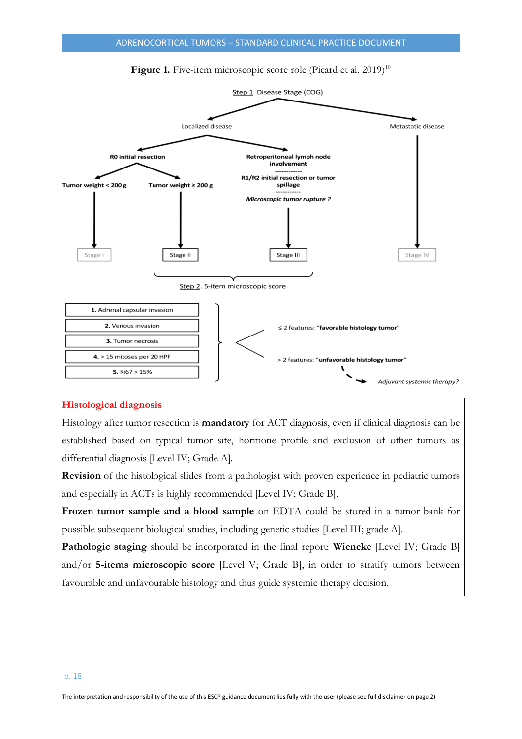

## Figure 1. Five-item microscopic score role (Picard et al. 2019)<sup>10</sup>

#### **Histological diagnosis**

Histology after tumor resection is **mandatory** for ACT diagnosis, even if clinical diagnosis can be established based on typical tumor site, hormone profile and exclusion of other tumors as differential diagnosis [Level IV; Grade A].

**Revision** of the histological slides from a pathologist with proven experience in pediatric tumors and especially in ACTs is highly recommended [Level IV; Grade B].

**Frozen tumor sample and a blood sample** on EDTA could be stored in a tumor bank for possible subsequent biological studies, including genetic studies [Level III; grade A].

**Pathologic staging** should be incorporated in the final report: **Wieneke** [Level IV; Grade B] and/or **5-items microscopic score** [Level V; Grade B], in order to stratify tumors between favourable and unfavourable histology and thus guide systemic therapy decision.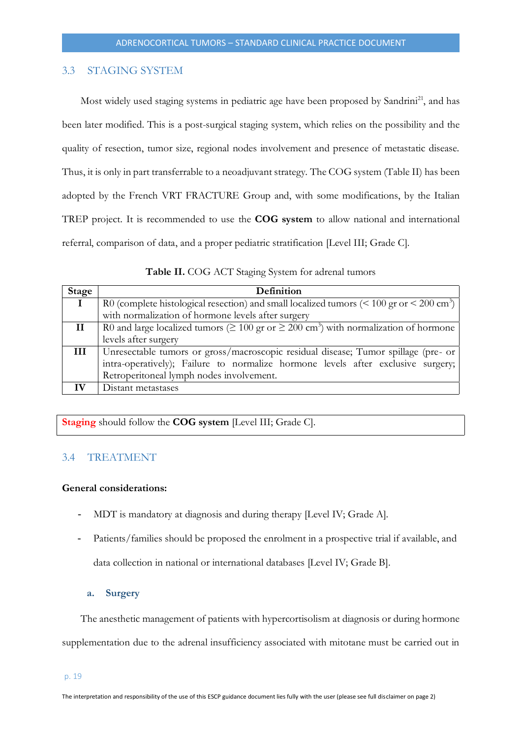## <span id="page-18-0"></span>3.3 STAGING SYSTEM

Most widely used staging systems in pediatric age have been proposed by Sandrini<sup>21</sup>, and has been later modified. This is a post-surgical staging system, which relies on the possibility and the quality of resection, tumor size, regional nodes involvement and presence of metastatic disease. Thus, it is only in part transferrable to a neoadjuvant strategy. The COG system (Table II) has been adopted by the French VRT FRACTURE Group and, with some modifications, by the Italian TREP project. It is recommended to use the **COG system** to allow national and international referral, comparison of data, and a proper pediatric stratification [Level III; Grade C].

**Table II.** COG ACT Staging System for adrenal tumors

| Stage        | Definition                                                                                                      |  |
|--------------|-----------------------------------------------------------------------------------------------------------------|--|
|              | R0 (complete histological resection) and small localized tumors ( $\leq 100$ gr or $\leq 200$ cm <sup>3</sup> ) |  |
|              | with normalization of hormone levels after surgery                                                              |  |
| $\mathbf{I}$ | R0 and large localized tumors ( $\geq 100$ gr or $\geq 200$ cm <sup>3</sup> ) with normalization of hormone     |  |
|              | levels after surgery                                                                                            |  |
| Ш            | Unresectable tumors or gross/macroscopic residual disease; Tumor spillage (pre- or                              |  |
|              | intra-operatively); Failure to normalize hormone levels after exclusive surgery;                                |  |
|              | Retroperitoneal lymph nodes involvement.                                                                        |  |
|              | Distant metastases                                                                                              |  |

**Staging** should follow the **COG system** [Level III; Grade C].

#### <span id="page-18-1"></span>3.4 TREATMENT

#### **General considerations:**

- MDT is mandatory at diagnosis and during therapy [Level IV; Grade A].
- Patients/families should be proposed the enrolment in a prospective trial if available, and data collection in national or international databases [Level IV; Grade B].

#### **a. Surgery**

<span id="page-18-2"></span>The anesthetic management of patients with hypercortisolism at diagnosis or during hormone supplementation due to the adrenal insufficiency associated with mitotane must be carried out in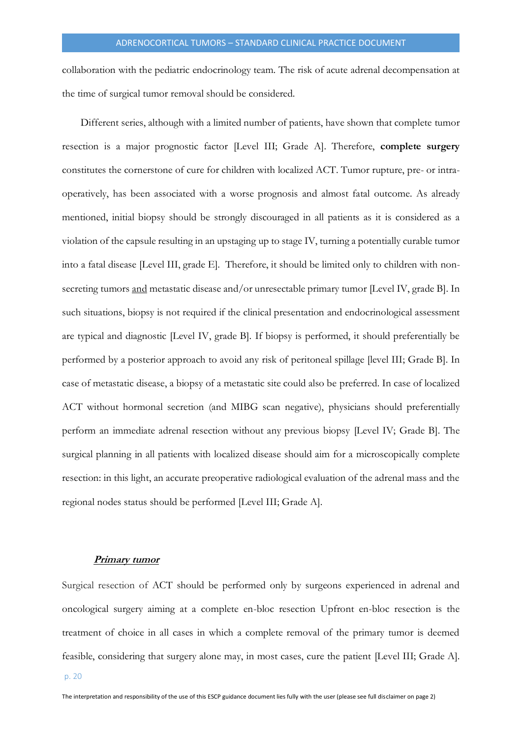collaboration with the pediatric endocrinology team. The risk of acute adrenal decompensation at the time of surgical tumor removal should be considered.

Different series, although with a limited number of patients, have shown that complete tumor resection is a major prognostic factor [Level III; Grade A]. Therefore, **complete surgery** constitutes the cornerstone of cure for children with localized ACT. Tumor rupture, pre- or intraoperatively, has been associated with a worse prognosis and almost fatal outcome. As already mentioned, initial biopsy should be strongly discouraged in all patients as it is considered as a violation of the capsule resulting in an upstaging up to stage IV, turning a potentially curable tumor into a fatal disease [Level III, grade E]. Therefore, it should be limited only to children with nonsecreting tumors and metastatic disease and/or unresectable primary tumor [Level IV, grade B]. In such situations, biopsy is not required if the clinical presentation and endocrinological assessment are typical and diagnostic [Level IV, grade B]. If biopsy is performed, it should preferentially be performed by a posterior approach to avoid any risk of peritoneal spillage [level III; Grade B]. In case of metastatic disease, a biopsy of a metastatic site could also be preferred. In case of localized ACT without hormonal secretion (and MIBG scan negative), physicians should preferentially perform an immediate adrenal resection without any previous biopsy [Level IV; Grade B]. The surgical planning in all patients with localized disease should aim for a microscopically complete resection: in this light, an accurate preoperative radiological evaluation of the adrenal mass and the regional nodes status should be performed [Level III; Grade A].

#### **Primary tumor**

<span id="page-19-0"></span>Surgical resection of ACT should be performed only by surgeons experienced in adrenal and oncological surgery aiming at a complete en-bloc resection Upfront en-bloc resection is the treatment of choice in all cases in which a complete removal of the primary tumor is deemed feasible, considering that surgery alone may, in most cases, cure the patient [Level III; Grade A].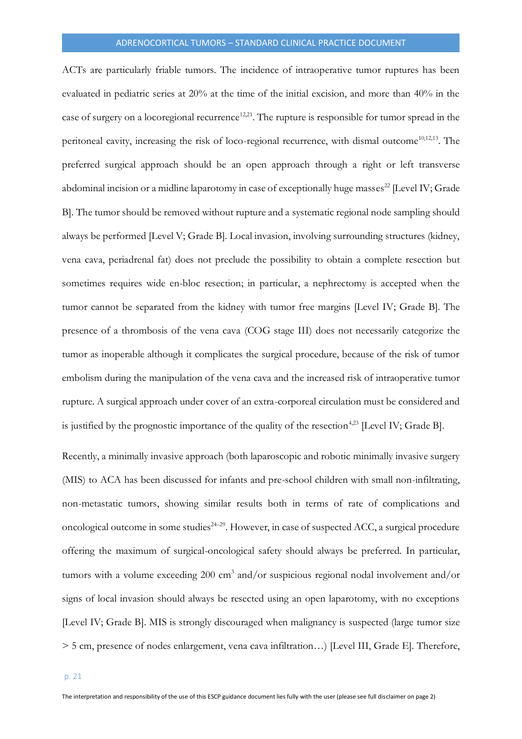ACTs are particularly friable tumors. The incidence of intraoperative tumor ruptures has been evaluated in pediatric series at 20% at the time of the initial excision, and more than 40% in the case of surgery on a locoregional recurrence<sup>12,21</sup>. The rupture is responsible for tumor spread in the peritoneal cavity, increasing the risk of loco-regional recurrence, with dismal outcome<sup>10,12,13</sup>. The preferred surgical approach should be an open approach through a right or left transverse abdominal incision or a midline laparotomy in case of exceptionally huge masses<sup>22</sup> [Level IV; Grade B]. The tumor should be removed without rupture and a systematic regional node sampling should always be performed [Level V; Grade B]. Local invasion, involving surrounding structures (kidney, vena cava, periadrenal fat) does not preclude the possibility to obtain a complete resection but sometimes requires wide en-bloc resection; in particular, a nephrectomy is accepted when the tumor cannot be separated from the kidney with tumor free margins [Level IV; Grade B]. The presence of a thrombosis of the vena cava (COG stage III) does not necessarily categorize the tumor as inoperable although it complicates the surgical procedure, because of the risk of tumor embolism during the manipulation of the vena cava and the increased risk of intraoperative tumor rupture. A surgical approach under cover of an extra-corporeal circulation must be considered and is justified by the prognostic importance of the quality of the resection<sup>4,23</sup> [Level IV; Grade B].

Recently, a minimally invasive approach (both laparoscopic and robotic minimally invasive surgery (MIS) to ACA has been discussed for infants and pre-school children with small non-infiltrating, non-metastatic tumors, showing similar results both in terms of rate of complications and oncological outcome in some studies<sup>24-29</sup>. However, in case of suspected ACC, a surgical procedure offering the maximum of surgical-oncological safety should always be preferred. In particular, tumors with a volume exceeding 200 cm<sup>3</sup> and/or suspicious regional nodal involvement and/or signs of local invasion should always be resected using an open laparotomy, with no exceptions [Level IV; Grade B]. MIS is strongly discouraged when malignancy is suspected (large tumor size > 5 cm, presence of nodes enlargement, vena cava infiltration…) [Level III, Grade E]. Therefore,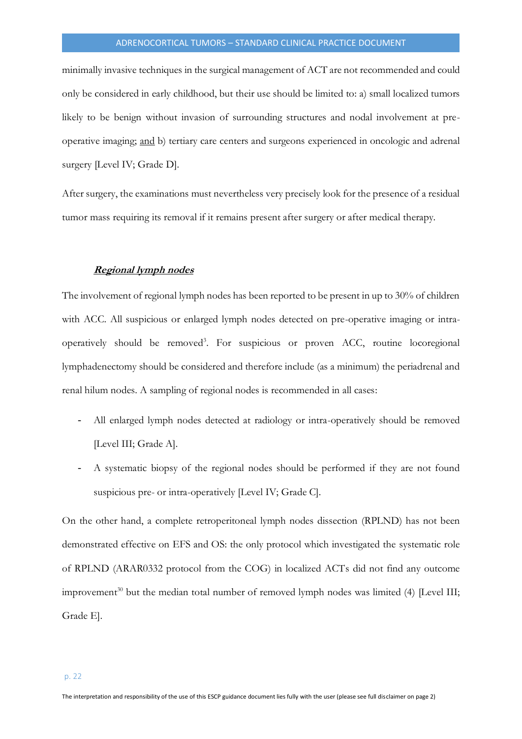minimally invasive techniques in the surgical management of ACT are not recommended and could only be considered in early childhood, but their use should be limited to: a) small localized tumors likely to be benign without invasion of surrounding structures and nodal involvement at preoperative imaging; and b) tertiary care centers and surgeons experienced in oncologic and adrenal surgery [Level IV; Grade D].

After surgery, the examinations must nevertheless very precisely look for the presence of a residual tumor mass requiring its removal if it remains present after surgery or after medical therapy.

#### **Regional lymph nodes**

<span id="page-21-0"></span>The involvement of regional lymph nodes has been reported to be present in up to 30% of children with ACC. All suspicious or enlarged lymph nodes detected on pre-operative imaging or intraoperatively should be removed<sup>3</sup> . For suspicious or proven ACC, routine locoregional lymphadenectomy should be considered and therefore include (as a minimum) the periadrenal and renal hilum nodes. A sampling of regional nodes is recommended in all cases:

- All enlarged lymph nodes detected at radiology or intra-operatively should be removed [Level III; Grade A].
- A systematic biopsy of the regional nodes should be performed if they are not found suspicious pre- or intra-operatively [Level IV; Grade C].

On the other hand, a complete retroperitoneal lymph nodes dissection (RPLND) has not been demonstrated effective on EFS and OS: the only protocol which investigated the systematic role of RPLND (ARAR0332 protocol from the COG) in localized ACTs did not find any outcome improvement<sup>30</sup> but the median total number of removed lymph nodes was limited (4) [Level III; Grade E].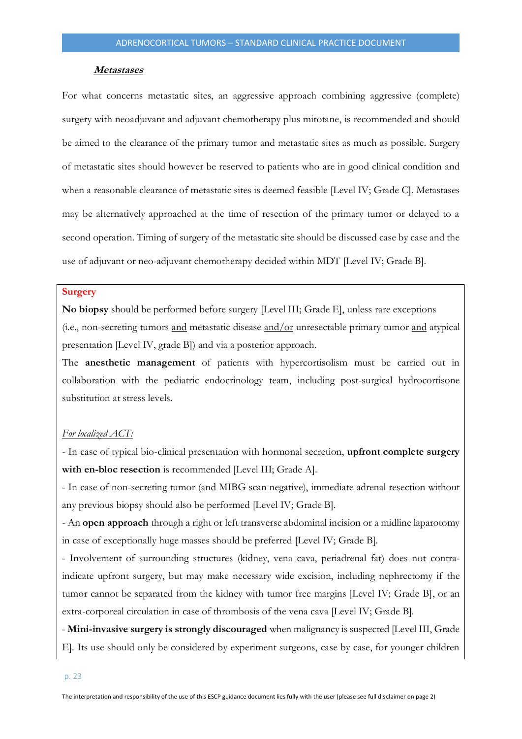#### **Metastases**

<span id="page-22-0"></span>For what concerns metastatic sites, an aggressive approach combining aggressive (complete) surgery with neoadjuvant and adjuvant chemotherapy plus mitotane, is recommended and should be aimed to the clearance of the primary tumor and metastatic sites as much as possible. Surgery of metastatic sites should however be reserved to patients who are in good clinical condition and when a reasonable clearance of metastatic sites is deemed feasible [Level IV; Grade C]. Metastases may be alternatively approached at the time of resection of the primary tumor or delayed to a second operation. Timing of surgery of the metastatic site should be discussed case by case and the use of adjuvant or neo-adjuvant chemotherapy decided within MDT [Level IV; Grade B].

#### **Surgery**

**No biopsy** should be performed before surgery [Level III; Grade E], unless rare exceptions (i.e., non-secreting tumors and metastatic disease and/or unresectable primary tumor and atypical presentation [Level IV, grade B]) and via a posterior approach.

The **anesthetic management** of patients with hypercortisolism must be carried out in collaboration with the pediatric endocrinology team, including post-surgical hydrocortisone substitution at stress levels.

#### *For localized ACT:*

- In case of typical bio-clinical presentation with hormonal secretion, **upfront complete surgery with en-bloc resection** is recommended [Level III; Grade A].

- In case of non-secreting tumor (and MIBG scan negative), immediate adrenal resection without any previous biopsy should also be performed [Level IV; Grade B].

- An **open approach** through a right or left transverse abdominal incision or a midline laparotomy in case of exceptionally huge masses should be preferred [Level IV; Grade B].

- Involvement of surrounding structures (kidney, vena cava, periadrenal fat) does not contraindicate upfront surgery, but may make necessary wide excision, including nephrectomy if the tumor cannot be separated from the kidney with tumor free margins [Level IV; Grade B], or an extra-corporeal circulation in case of thrombosis of the vena cava [Level IV; Grade B].

- **Mini-invasive surgery is strongly discouraged** when malignancy is suspected [Level III, Grade E]. Its use should only be considered by experiment surgeons, case by case, for younger children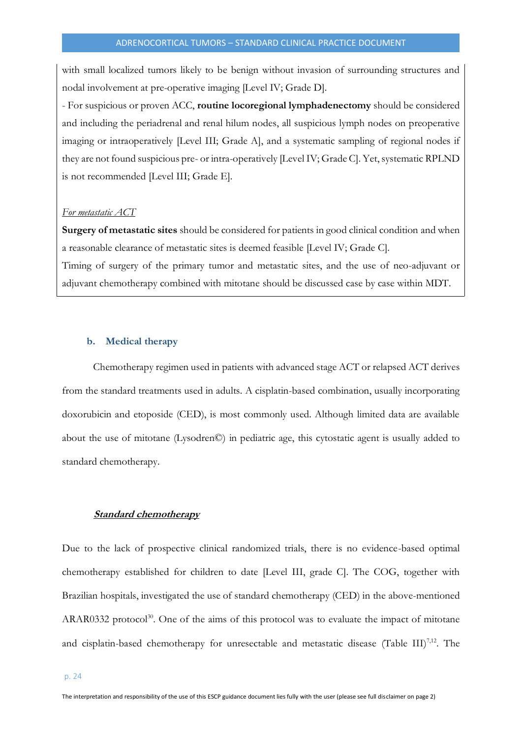with small localized tumors likely to be benign without invasion of surrounding structures and nodal involvement at pre-operative imaging [Level IV; Grade D].

- For suspicious or proven ACC, **routine locoregional lymphadenectomy** should be considered and including the periadrenal and renal hilum nodes, all suspicious lymph nodes on preoperative imaging or intraoperatively [Level III; Grade A], and a systematic sampling of regional nodes if they are not found suspicious pre- or intra-operatively [Level IV; Grade C]. Yet, systematic RPLND is not recommended [Level III; Grade E].

#### *For metastatic ACT*

**Surgery of metastatic sites** should be considered for patients in good clinical condition and when a reasonable clearance of metastatic sites is deemed feasible [Level IV; Grade C].

Timing of surgery of the primary tumor and metastatic sites, and the use of neo-adjuvant or adjuvant chemotherapy combined with mitotane should be discussed case by case within MDT.

#### <span id="page-23-0"></span>**b. Medical therapy**

Chemotherapy regimen used in patients with advanced stage ACT or relapsed ACT derives from the standard treatments used in adults. A cisplatin-based combination, usually incorporating doxorubicin and etoposide (CED), is most commonly used. Although limited data are available about the use of mitotane (Lysodren©) in pediatric age, this cytostatic agent is usually added to standard chemotherapy.

#### <span id="page-23-1"></span>**Standard chemotherapy**

Due to the lack of prospective clinical randomized trials, there is no evidence-based optimal chemotherapy established for children to date [Level III, grade C]. The COG, together with Brazilian hospitals, investigated the use of standard chemotherapy (CED) in the above-mentioned ARAR0332 protocol<sup>30</sup>. One of the aims of this protocol was to evaluate the impact of mitotane and cisplatin-based chemotherapy for unresectable and metastatic disease (Table III)<sup>7,12</sup>. The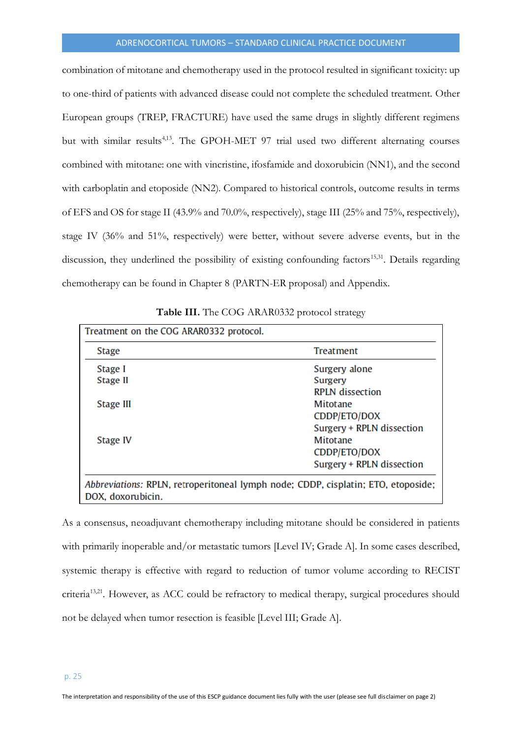combination of mitotane and chemotherapy used in the protocol resulted in significant toxicity: up to one-third of patients with advanced disease could not complete the scheduled treatment. Other European groups (TREP, FRACTURE) have used the same drugs in slightly different regimens but with similar results<sup>4,13</sup>. The GPOH-MET 97 trial used two different alternating courses combined with mitotane: one with vincristine, ifosfamide and doxorubicin (NN1), and the second with carboplatin and etoposide (NN2). Compared to historical controls, outcome results in terms of EFS and OS for stage II (43.9% and 70.0%, respectively), stage III (25% and 75%, respectively), stage IV (36% and 51%, respectively) were better, without severe adverse events, but in the discussion, they underlined the possibility of existing confounding factors<sup>15,31</sup>. Details regarding chemotherapy can be found in Chapter 8 (PARTN-ER proposal) and Appendix.

| <b>Stage</b> | Treatment                 |
|--------------|---------------------------|
| Stage I      | Surgery alone             |
| Stage II     | Surgery                   |
|              | <b>RPLN</b> dissection    |
| Stage III    | Mitotane                  |
|              | CDDP/ETO/DOX              |
|              | Surgery + RPLN dissection |
| Stage IV     | Mitotane                  |
|              | CDDP/ETO/DOX              |
|              | Surgery + RPLN dissection |

**Table III.** The COG ARAR0332 protocol strategy

DOX, doxorubicin.

As a consensus, neoadjuvant chemotherapy including mitotane should be considered in patients with primarily inoperable and/or metastatic tumors [Level IV; Grade A]. In some cases described, systemic therapy is effective with regard to reduction of tumor volume according to RECIST criteria<sup>13,21</sup>. However, as ACC could be refractory to medical therapy, surgical procedures should not be delayed when tumor resection is feasible [Level III; Grade A].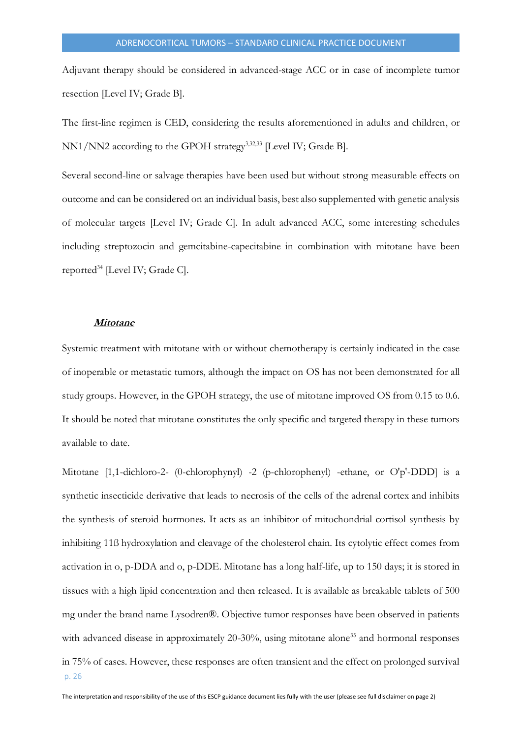Adjuvant therapy should be considered in advanced-stage ACC or in case of incomplete tumor resection [Level IV; Grade B].

The first-line regimen is CED, considering the results aforementioned in adults and children, or NN1/NN2 according to the GPOH strategy<sup>3,32,33</sup> [Level IV; Grade B].

Several second-line or salvage therapies have been used but without strong measurable effects on outcome and can be considered on an individual basis, best also supplemented with genetic analysis of molecular targets [Level IV; Grade C]. In adult advanced ACC, some interesting schedules including streptozocin and gemcitabine-capecitabine in combination with mitotane have been reported<sup>34</sup> [Level IV; Grade C].

#### **Mitotane**

<span id="page-25-0"></span>Systemic treatment with mitotane with or without chemotherapy is certainly indicated in the case of inoperable or metastatic tumors, although the impact on OS has not been demonstrated for all study groups. However, in the GPOH strategy, the use of mitotane improved OS from 0.15 to 0.6. It should be noted that mitotane constitutes the only specific and targeted therapy in these tumors available to date.

p. 26 Mitotane [1,1-dichloro-2- (0-chlorophynyl) -2 (p-chlorophenyl) -ethane, or O'p'-DDD] is a synthetic insecticide derivative that leads to necrosis of the cells of the adrenal cortex and inhibits the synthesis of steroid hormones. It acts as an inhibitor of mitochondrial cortisol synthesis by inhibiting 11ß hydroxylation and cleavage of the cholesterol chain. Its cytolytic effect comes from activation in o, p-DDA and o, p-DDE. Mitotane has a long half-life, up to 150 days; it is stored in tissues with a high lipid concentration and then released. It is available as breakable tablets of 500 mg under the brand name Lysodren®. Objective tumor responses have been observed in patients with advanced disease in approximately 20-30%, using mitotane alone<sup>35</sup> and hormonal responses in 75% of cases. However, these responses are often transient and the effect on prolonged survival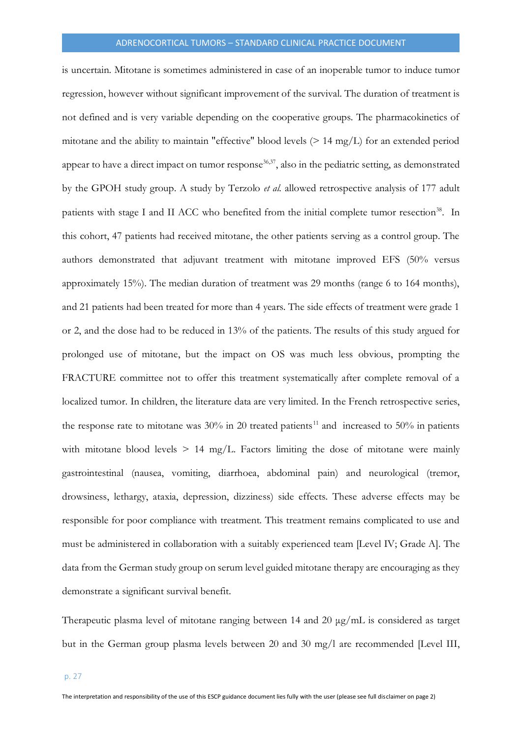is uncertain. Mitotane is sometimes administered in case of an inoperable tumor to induce tumor regression, however without significant improvement of the survival. The duration of treatment is not defined and is very variable depending on the cooperative groups. The pharmacokinetics of mitotane and the ability to maintain "effective" blood levels (> 14 mg/L) for an extended period appear to have a direct impact on tumor response<sup>36,37</sup>, also in the pediatric setting, as demonstrated by the GPOH study group. A study by Terzolo *et al.* allowed retrospective analysis of 177 adult patients with stage I and II ACC who benefited from the initial complete tumor resection<sup>38</sup>. In this cohort, 47 patients had received mitotane, the other patients serving as a control group. The authors demonstrated that adjuvant treatment with mitotane improved EFS (50% versus approximately 15%). The median duration of treatment was 29 months (range 6 to 164 months), and 21 patients had been treated for more than 4 years. The side effects of treatment were grade 1 or 2, and the dose had to be reduced in 13% of the patients. The results of this study argued for prolonged use of mitotane, but the impact on OS was much less obvious, prompting the FRACTURE committee not to offer this treatment systematically after complete removal of a localized tumor. In children, the literature data are very limited. In the French retrospective series, the response rate to mitotane was  $30\%$  in 20 treated patients<sup>11</sup> and increased to 50% in patients with mitotane blood levels  $> 14$  mg/L. Factors limiting the dose of mitotane were mainly gastrointestinal (nausea, vomiting, diarrhoea, abdominal pain) and neurological (tremor, drowsiness, lethargy, ataxia, depression, dizziness) side effects. These adverse effects may be responsible for poor compliance with treatment. This treatment remains complicated to use and must be administered in collaboration with a suitably experienced team [Level IV; Grade A]. The data from the German study group on serum level guided mitotane therapy are encouraging as they demonstrate a significant survival benefit.

Therapeutic plasma level of mitotane ranging between 14 and 20 μg/mL is considered as target but in the German group plasma levels between 20 and 30 mg/l are recommended [Level III,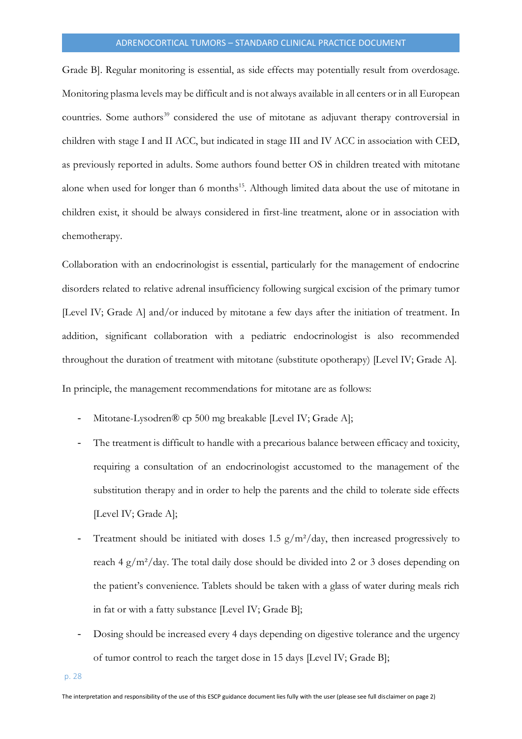Grade B]. Regular monitoring is essential, as side effects may potentially result from overdosage. Monitoring plasma levels may be difficult and is not always available in all centers or in all European countries. Some authors<sup>39</sup> considered the use of mitotane as adjuvant therapy controversial in children with stage I and II ACC, but indicated in stage III and IV ACC in association with CED, as previously reported in adults. Some authors found better OS in children treated with mitotane alone when used for longer than 6 months<sup>15</sup>. Although limited data about the use of mitotane in children exist, it should be always considered in first-line treatment, alone or in association with chemotherapy.

Collaboration with an endocrinologist is essential, particularly for the management of endocrine disorders related to relative adrenal insufficiency following surgical excision of the primary tumor [Level IV; Grade A] and/or induced by mitotane a few days after the initiation of treatment. In addition, significant collaboration with a pediatric endocrinologist is also recommended throughout the duration of treatment with mitotane (substitute opotherapy) [Level IV; Grade A].

In principle, the management recommendations for mitotane are as follows:

- Mitotane-Lysodren® cp 500 mg breakable [Level IV; Grade A];
- The treatment is difficult to handle with a precarious balance between efficacy and toxicity, requiring a consultation of an endocrinologist accustomed to the management of the substitution therapy and in order to help the parents and the child to tolerate side effects [Level IV; Grade A];
- Treatment should be initiated with doses 1.5  $g/m^2$ /day, then increased progressively to reach 4 g/m²/day. The total daily dose should be divided into 2 or 3 doses depending on the patient's convenience. Tablets should be taken with a glass of water during meals rich in fat or with a fatty substance [Level IV; Grade B];
- Dosing should be increased every 4 days depending on digestive tolerance and the urgency of tumor control to reach the target dose in 15 days [Level IV; Grade B];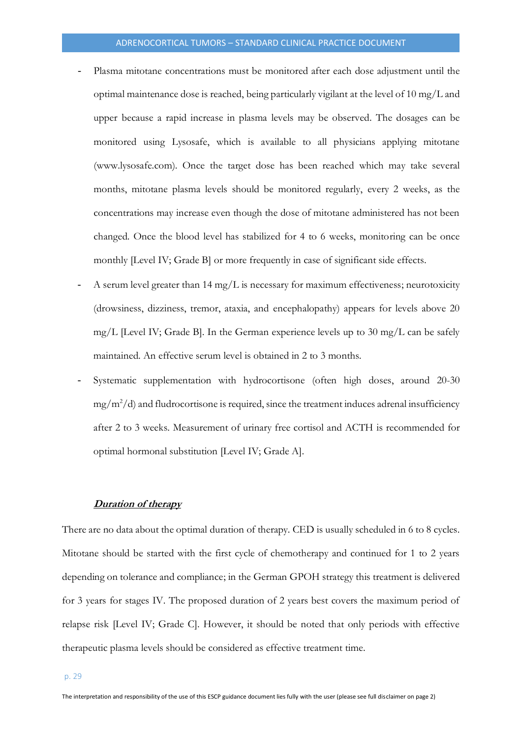- Plasma mitotane concentrations must be monitored after each dose adjustment until the optimal maintenance dose is reached, being particularly vigilant at the level of 10 mg/L and upper because a rapid increase in plasma levels may be observed. The dosages can be monitored using Lysosafe, which is available to all physicians applying mitotane (www.lysosafe.com). Once the target dose has been reached which may take several months, mitotane plasma levels should be monitored regularly, every 2 weeks, as the concentrations may increase even though the dose of mitotane administered has not been changed. Once the blood level has stabilized for 4 to 6 weeks, monitoring can be once monthly [Level IV; Grade B] or more frequently in case of significant side effects.
- A serum level greater than  $14 \text{ mg/L}$  is necessary for maximum effectiveness; neurotoxicity (drowsiness, dizziness, tremor, ataxia, and encephalopathy) appears for levels above 20 mg/L [Level IV; Grade B]. In the German experience levels up to 30 mg/L can be safely maintained. An effective serum level is obtained in 2 to 3 months.
- Systematic supplementation with hydrocortisone (often high doses, around 20-30  $mg/m^2/d$ ) and fludrocortisone is required, since the treatment induces adrenal insufficiency after 2 to 3 weeks. Measurement of urinary free cortisol and ACTH is recommended for optimal hormonal substitution [Level IV; Grade A].

#### **Duration of therapy**

<span id="page-28-0"></span>There are no data about the optimal duration of therapy. CED is usually scheduled in 6 to 8 cycles. Mitotane should be started with the first cycle of chemotherapy and continued for 1 to 2 years depending on tolerance and compliance; in the German GPOH strategy this treatment is delivered for 3 years for stages IV. The proposed duration of 2 years best covers the maximum period of relapse risk [Level IV; Grade C]. However, it should be noted that only periods with effective therapeutic plasma levels should be considered as effective treatment time.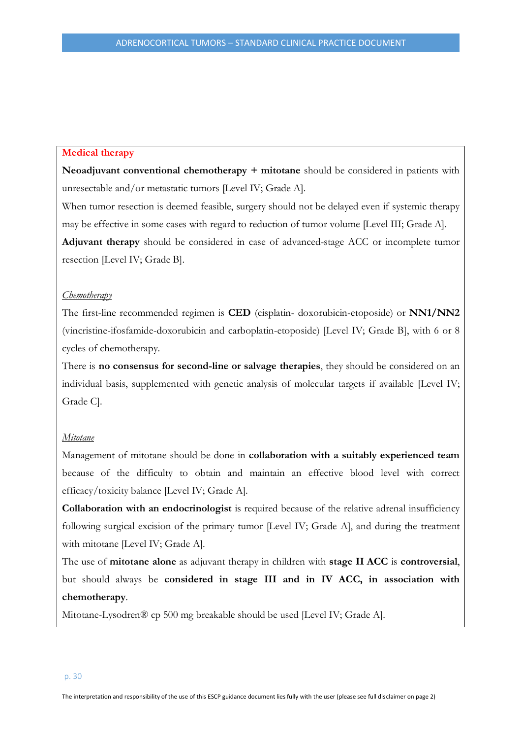#### **Medical therapy**

**Neoadjuvant conventional chemotherapy + mitotane** should be considered in patients with unresectable and/or metastatic tumors [Level IV; Grade A].

When tumor resection is deemed feasible, surgery should not be delayed even if systemic therapy may be effective in some cases with regard to reduction of tumor volume [Level III; Grade A]. **Adjuvant therapy** should be considered in case of advanced-stage ACC or incomplete tumor resection [Level IV; Grade B].

#### *Chemotherapy*

The first-line recommended regimen is **CED** (cisplatin- doxorubicin-etoposide) or **NN1/NN2** (vincristine-ifosfamide-doxorubicin and carboplatin-etoposide) [Level IV; Grade B], with 6 or 8 cycles of chemotherapy.

There is **no consensus for second-line or salvage therapies**, they should be considered on an individual basis, supplemented with genetic analysis of molecular targets if available [Level IV; Grade C].

#### *Mitotane*

Management of mitotane should be done in **collaboration with a suitably experienced team** because of the difficulty to obtain and maintain an effective blood level with correct efficacy/toxicity balance [Level IV; Grade A].

**Collaboration with an endocrinologist** is required because of the relative adrenal insufficiency following surgical excision of the primary tumor [Level IV; Grade A], and during the treatment with mitotane [Level IV; Grade A].

The use of **mitotane alone** as adjuvant therapy in children with **stage II ACC** is **controversial**, but should always be **considered in stage III and in IV ACC, in association with chemotherapy**.

Mitotane-Lysodren® cp 500 mg breakable should be used [Level IV; Grade A].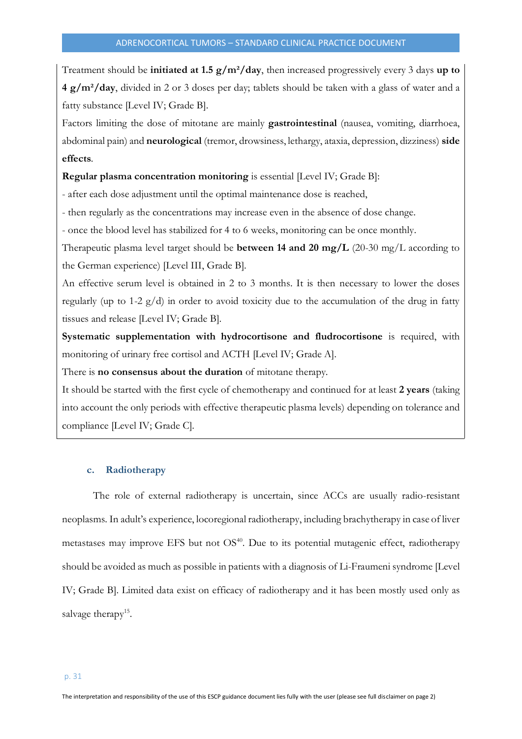Treatment should be **initiated at 1.5 g/m²/day**, then increased progressively every 3 days **up to 4 g/m²/day**, divided in 2 or 3 doses per day; tablets should be taken with a glass of water and a fatty substance [Level IV; Grade B].

Factors limiting the dose of mitotane are mainly **gastrointestinal** (nausea, vomiting, diarrhoea, abdominal pain) and **neurological** (tremor, drowsiness, lethargy, ataxia, depression, dizziness) **side effects**.

**Regular plasma concentration monitoring** is essential [Level IV; Grade B]:

- after each dose adjustment until the optimal maintenance dose is reached,

- then regularly as the concentrations may increase even in the absence of dose change.

- once the blood level has stabilized for 4 to 6 weeks, monitoring can be once monthly.

Therapeutic plasma level target should be **between 14 and 20 mg/L** (20-30 mg/L according to the German experience) [Level III, Grade B].

An effective serum level is obtained in 2 to 3 months. It is then necessary to lower the doses regularly (up to 1-2 g/d) in order to avoid toxicity due to the accumulation of the drug in fatty tissues and release [Level IV; Grade B].

**Systematic supplementation with hydrocortisone and fludrocortisone** is required, with monitoring of urinary free cortisol and ACTH [Level IV; Grade A].

There is **no consensus about the duration** of mitotane therapy.

It should be started with the first cycle of chemotherapy and continued for at least **2 years** (taking into account the only periods with effective therapeutic plasma levels) depending on tolerance and compliance [Level IV; Grade C].

#### <span id="page-30-0"></span>**c. Radiotherapy**

The role of external radiotherapy is uncertain, since ACCs are usually radio-resistant neoplasms. In adult's experience, locoregional radiotherapy, including brachytherapy in case of liver metastases may improve EFS but not OS<sup>40</sup>. Due to its potential mutagenic effect, radiotherapy should be avoided as much as possible in patients with a diagnosis of Li-Fraumeni syndrome [Level IV; Grade B]. Limited data exist on efficacy of radiotherapy and it has been mostly used only as salvage therapy<sup>15</sup>.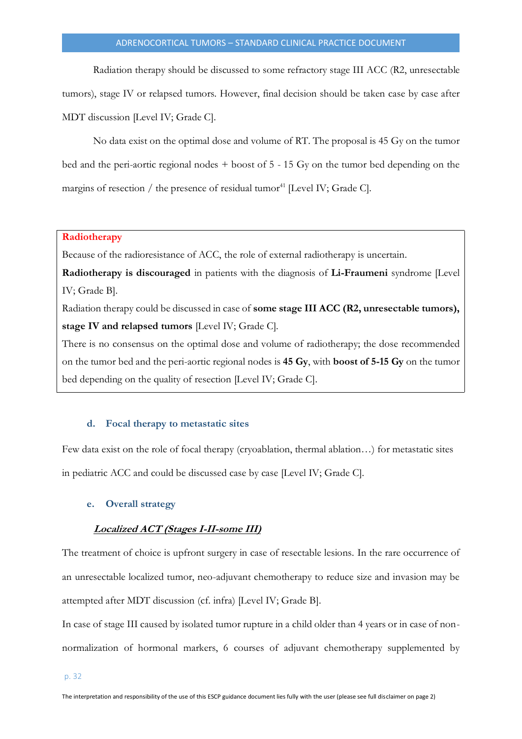Radiation therapy should be discussed to some refractory stage III ACC (R2, unresectable tumors), stage IV or relapsed tumors. However, final decision should be taken case by case after MDT discussion [Level IV; Grade C].

No data exist on the optimal dose and volume of RT. The proposal is 45 Gy on the tumor bed and the peri-aortic regional nodes + boost of 5 - 15 Gy on the tumor bed depending on the margins of resection / the presence of residual tumor<sup>41</sup> [Level IV; Grade C].

#### **Radiotherapy**

Because of the radioresistance of ACC, the role of external radiotherapy is uncertain.

**Radiotherapy is discouraged** in patients with the diagnosis of **Li-Fraumeni** syndrome [Level IV; Grade B].

Radiation therapy could be discussed in case of **some stage III ACC (R2, unresectable tumors), stage IV and relapsed tumors** [Level IV; Grade C].

There is no consensus on the optimal dose and volume of radiotherapy; the dose recommended on the tumor bed and the peri-aortic regional nodes is **45 Gy**, with **boost of 5-15 Gy** on the tumor bed depending on the quality of resection [Level IV; Grade C].

#### <span id="page-31-0"></span>**d. Focal therapy to metastatic sites**

Few data exist on the role of focal therapy (cryoablation, thermal ablation…) for metastatic sites in pediatric ACC and could be discussed case by case [Level IV; Grade C].

#### <span id="page-31-1"></span>**e. Overall strategy**

#### **Localized ACT (Stages I-II-some III)**

The treatment of choice is upfront surgery in case of resectable lesions. In the rare occurrence of an unresectable localized tumor, neo-adjuvant chemotherapy to reduce size and invasion may be attempted after MDT discussion (cf. infra) [Level IV; Grade B].

In case of stage III caused by isolated tumor rupture in a child older than 4 years or in case of nonnormalization of hormonal markers, 6 courses of adjuvant chemotherapy supplemented by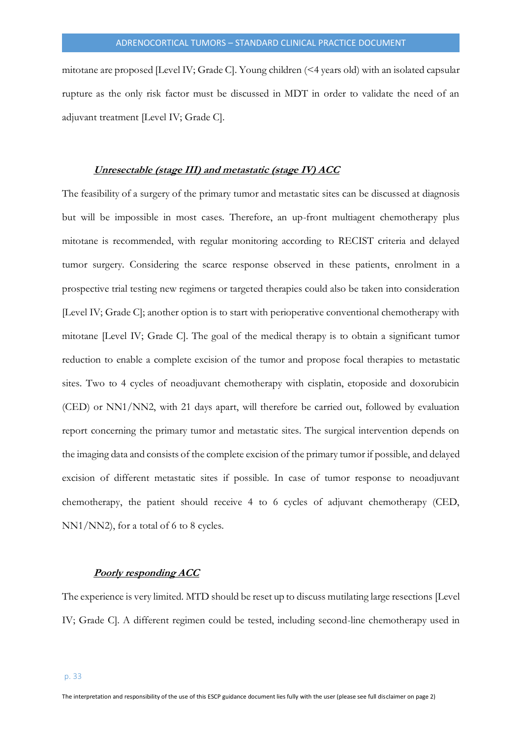mitotane are proposed [Level IV; Grade C]. Young children (<4 years old) with an isolated capsular rupture as the only risk factor must be discussed in MDT in order to validate the need of an adjuvant treatment [Level IV; Grade C].

#### **Unresectable (stage III) and metastatic (stage IV) ACC**

The feasibility of a surgery of the primary tumor and metastatic sites can be discussed at diagnosis but will be impossible in most cases. Therefore, an up-front multiagent chemotherapy plus mitotane is recommended, with regular monitoring according to RECIST criteria and delayed tumor surgery. Considering the scarce response observed in these patients, enrolment in a prospective trial testing new regimens or targeted therapies could also be taken into consideration [Level IV; Grade C]; another option is to start with perioperative conventional chemotherapy with mitotane [Level IV; Grade C]. The goal of the medical therapy is to obtain a significant tumor reduction to enable a complete excision of the tumor and propose focal therapies to metastatic sites. Two to 4 cycles of neoadjuvant chemotherapy with cisplatin, etoposide and doxorubicin (CED) or NN1/NN2, with 21 days apart, will therefore be carried out, followed by evaluation report concerning the primary tumor and metastatic sites. The surgical intervention depends on the imaging data and consists of the complete excision of the primary tumor if possible, and delayed excision of different metastatic sites if possible. In case of tumor response to neoadjuvant chemotherapy, the patient should receive 4 to 6 cycles of adjuvant chemotherapy (CED, NN1/NN2), for a total of 6 to 8 cycles.

#### **Poorly responding ACC**

The experience is very limited. MTD should be reset up to discuss mutilating large resections [Level IV; Grade C]. A different regimen could be tested, including second-line chemotherapy used in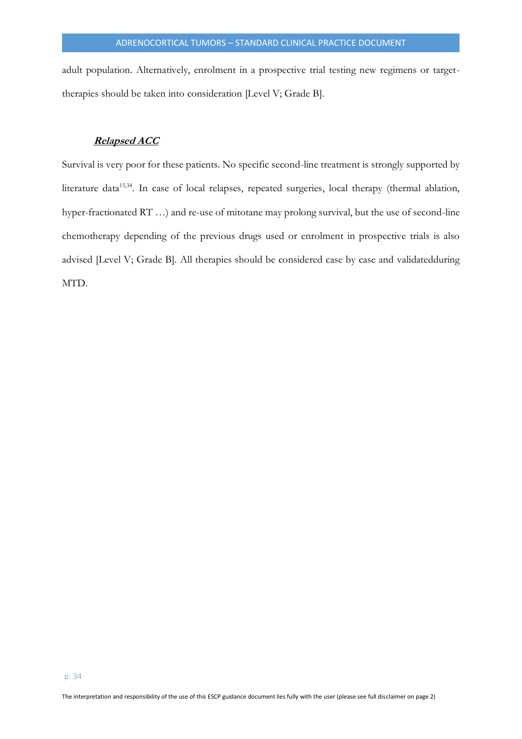adult population. Alternatively, enrolment in a prospective trial testing new regimens or targettherapies should be taken into consideration [Level V; Grade B].

## **Relapsed ACC**

Survival is very poor for these patients. No specific second-line treatment is strongly supported by literature data<sup>15,34</sup>. In case of local relapses, repeated surgeries, local therapy (thermal ablation, hyper-fractionated RT …) and re-use of mitotane may prolong survival, but the use of second-line chemotherapy depending of the previous drugs used or enrolment in prospective trials is also advised [Level V; Grade B]. All therapies should be considered case by case and validatedduring MTD.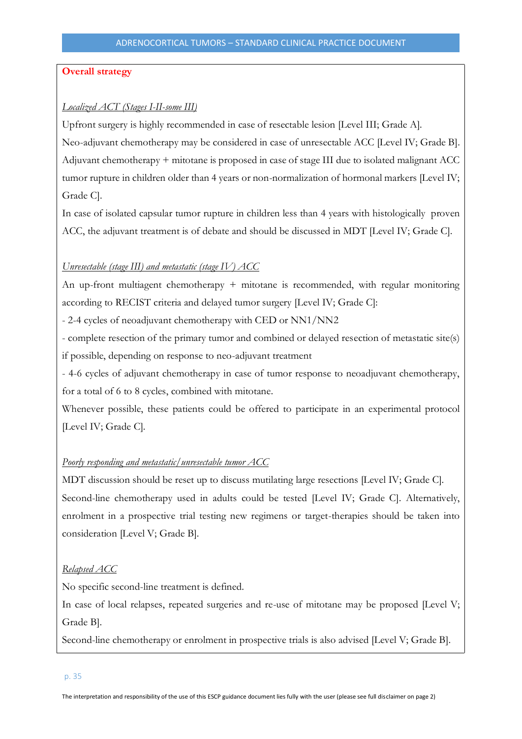## **Overall strategy**

## *Localized ACT (Stages I-II-some III)*

Upfront surgery is highly recommended in case of resectable lesion [Level III; Grade A].

Neo-adjuvant chemotherapy may be considered in case of unresectable ACC [Level IV; Grade B]. Adjuvant chemotherapy + mitotane is proposed in case of stage III due to isolated malignant ACC tumor rupture in children older than 4 years or non-normalization of hormonal markers [Level IV; Grade C].

In case of isolated capsular tumor rupture in children less than 4 years with histologically proven ACC, the adjuvant treatment is of debate and should be discussed in MDT [Level IV; Grade C].

## *Unresectable (stage III) and metastatic (stage IV) ACC*

An up-front multiagent chemotherapy + mitotane is recommended, with regular monitoring according to RECIST criteria and delayed tumor surgery [Level IV; Grade C]:

- 2-4 cycles of neoadjuvant chemotherapy with CED or NN1/NN2

- complete resection of the primary tumor and combined or delayed resection of metastatic site(s) if possible, depending on response to neo-adjuvant treatment

- 4-6 cycles of adjuvant chemotherapy in case of tumor response to neoadjuvant chemotherapy, for a total of 6 to 8 cycles, combined with mitotane.

Whenever possible, these patients could be offered to participate in an experimental protocol [Level IV; Grade C].

## *Poorly responding and metastatic/unresectable tumor ACC*

MDT discussion should be reset up to discuss mutilating large resections [Level IV; Grade C]. Second-line chemotherapy used in adults could be tested [Level IV; Grade C]. Alternatively, enrolment in a prospective trial testing new regimens or target-therapies should be taken into consideration [Level V; Grade B].

## *Relapsed ACC*

No specific second-line treatment is defined.

In case of local relapses, repeated surgeries and re-use of mitotane may be proposed [Level V; Grade B].

Second-line chemotherapy or enrolment in prospective trials is also advised [Level V; Grade B].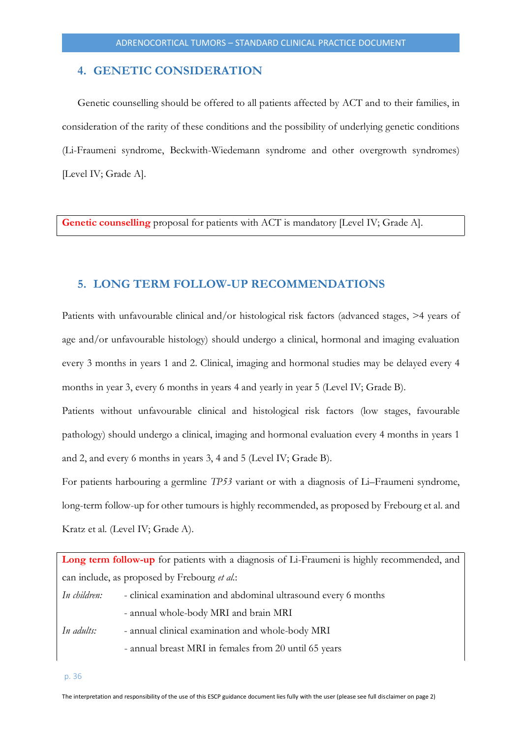## <span id="page-35-0"></span>**4. GENETIC CONSIDERATION**

Genetic counselling should be offered to all patients affected by ACT and to their families, in consideration of the rarity of these conditions and the possibility of underlying genetic conditions (Li-Fraumeni syndrome, Beckwith-Wiedemann syndrome and other overgrowth syndromes) [Level IV; Grade A].

**Genetic counselling** proposal for patients with ACT is mandatory [Level IV; Grade A].

## <span id="page-35-1"></span>**5. LONG TERM FOLLOW-UP RECOMMENDATIONS**

Patients with unfavourable clinical and/or histological risk factors (advanced stages, >4 years of age and/or unfavourable histology) should undergo a clinical, hormonal and imaging evaluation every 3 months in years 1 and 2. Clinical, imaging and hormonal studies may be delayed every 4 months in year 3, every 6 months in years 4 and yearly in year 5 (Level IV; Grade B).

Patients without unfavourable clinical and histological risk factors (low stages, favourable pathology) should undergo a clinical, imaging and hormonal evaluation every 4 months in years 1 and 2, and every 6 months in years 3, 4 and 5 (Level IV; Grade B).

For patients harbouring a germline *TP53* variant or with a diagnosis of Li–Fraumeni syndrome, long-term follow-up for other tumours is highly recommended, as proposed by Frebourg et al. and Kratz et al. (Level IV; Grade A).

|              | Long term follow-up for patients with a diagnosis of Li-Fraumeni is highly recommended, and |
|--------------|---------------------------------------------------------------------------------------------|
|              | can include, as proposed by Frebourg <i>et al.</i> :                                        |
| In children: | - clinical examination and abdominal ultrasound every 6 months                              |
|              | - annual whole-body MRI and brain MRI                                                       |
| In adults:   | - annual clinical examination and whole-body MRI                                            |
|              | - annual breast MRI in females from 20 until 65 years                                       |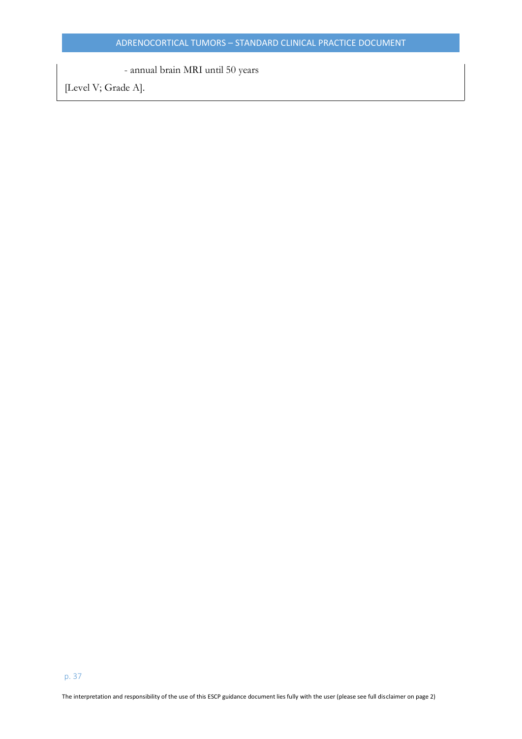- annual brain MRI until 50 years

[Level V; Grade A].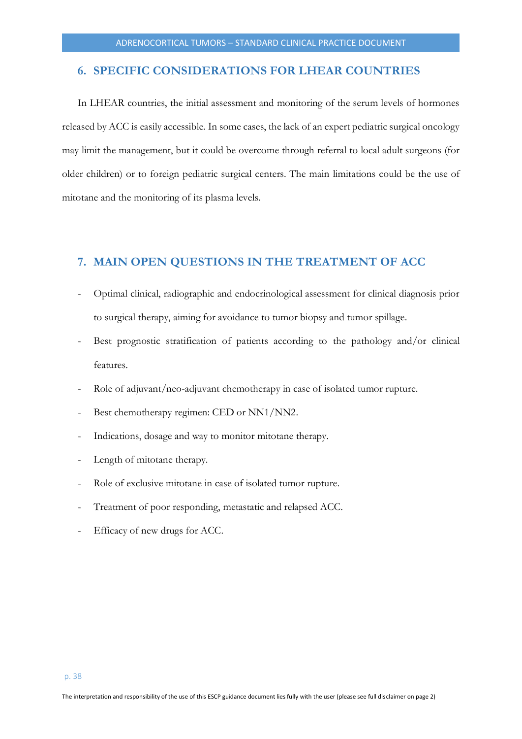## <span id="page-37-0"></span>**6. SPECIFIC CONSIDERATIONS FOR LHEAR COUNTRIES**

In LHEAR countries, the initial assessment and monitoring of the serum levels of hormones released by ACC is easily accessible. In some cases, the lack of an expert pediatric surgical oncology may limit the management, but it could be overcome through referral to local adult surgeons (for older children) or to foreign pediatric surgical centers. The main limitations could be the use of mitotane and the monitoring of its plasma levels.

## <span id="page-37-1"></span>**7. MAIN OPEN QUESTIONS IN THE TREATMENT OF ACC**

- Optimal clinical, radiographic and endocrinological assessment for clinical diagnosis prior to surgical therapy, aiming for avoidance to tumor biopsy and tumor spillage.
- Best prognostic stratification of patients according to the pathology and/or clinical features.
- Role of adjuvant/neo-adjuvant chemotherapy in case of isolated tumor rupture.
- Best chemotherapy regimen: CED or NN1/NN2.
- Indications, dosage and way to monitor mitotane therapy.
- Length of mitotane therapy.
- Role of exclusive mitotane in case of isolated tumor rupture.
- Treatment of poor responding, metastatic and relapsed ACC.
- Efficacy of new drugs for ACC.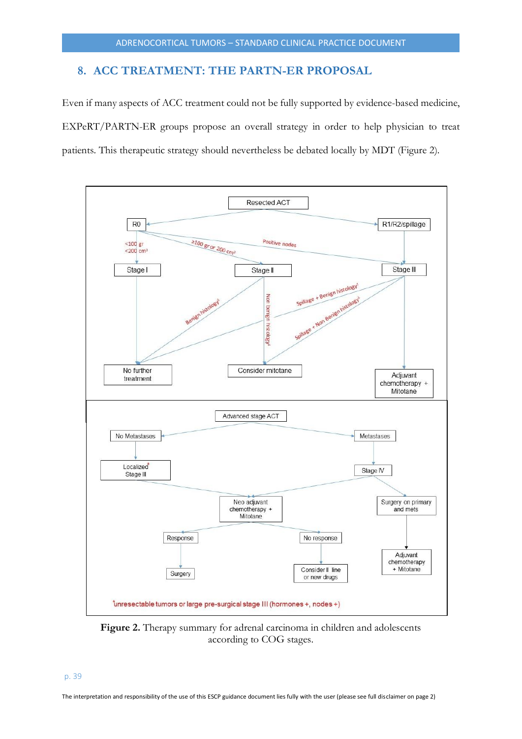## <span id="page-38-0"></span>**8. ACC TREATMENT: THE PARTN-ER PROPOSAL**

Even if many aspects of ACC treatment could not be fully supported by evidence-based medicine, EXPeRT/PARTN-ER groups propose an overall strategy in order to help physician to treat patients. This therapeutic strategy should nevertheless be debated locally by MDT (Figure 2).



**Figure 2.** Therapy summary for adrenal carcinoma in children and adolescents according to COG stages.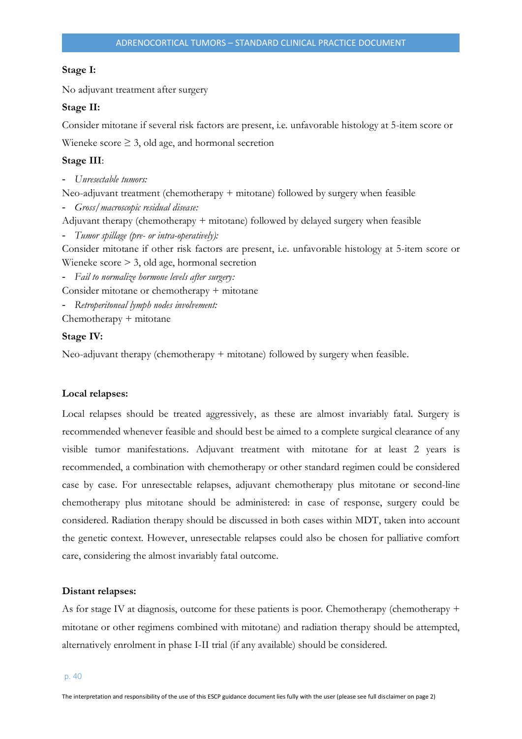#### **Stage I:**

No adjuvant treatment after surgery

#### **Stage II:**

Consider mitotane if several risk factors are present, i.e. unfavorable histology at 5-item score or

Wieneke score  $\geq 3$ , old age, and hormonal secretion

#### **Stage III**:

- *Unresectable tumors:*

Neo-adjuvant treatment (chemotherapy + mitotane) followed by surgery when feasible

- *Gross/macroscopic residual disease:*

Adjuvant therapy (chemotherapy + mitotane) followed by delayed surgery when feasible

- *Tumor spillage (pre- or intra-operatively):*

Consider mitotane if other risk factors are present, i.e. unfavorable histology at 5-item score or Wieneke score > 3, old age, hormonal secretion

- *Fail to normalize hormone levels after surgery:*

Consider mitotane or chemotherapy + mitotane

- *Retroperitoneal lymph nodes involvement:*

Chemotherapy + mitotane

#### **Stage IV:**

Neo-adjuvant therapy (chemotherapy + mitotane) followed by surgery when feasible.

#### **Local relapses:**

Local relapses should be treated aggressively, as these are almost invariably fatal. Surgery is recommended whenever feasible and should best be aimed to a complete surgical clearance of any visible tumor manifestations. Adjuvant treatment with mitotane for at least 2 years is recommended, a combination with chemotherapy or other standard regimen could be considered case by case. For unresectable relapses, adjuvant chemotherapy plus mitotane or second-line chemotherapy plus mitotane should be administered: in case of response, surgery could be considered. Radiation therapy should be discussed in both cases within MDT, taken into account the genetic context. However, unresectable relapses could also be chosen for palliative comfort care, considering the almost invariably fatal outcome.

#### **Distant relapses:**

As for stage IV at diagnosis, outcome for these patients is poor. Chemotherapy (chemotherapy + mitotane or other regimens combined with mitotane) and radiation therapy should be attempted, alternatively enrolment in phase I-II trial (if any available) should be considered.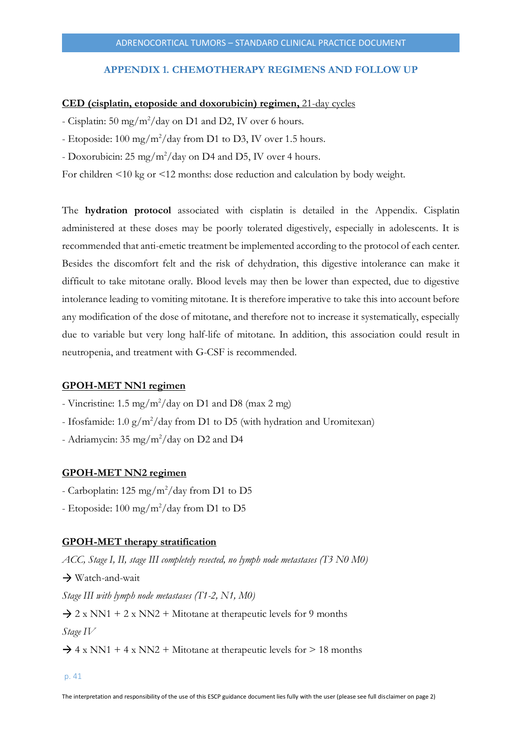## **APPENDIX 1. CHEMOTHERAPY REGIMENS AND FOLLOW UP**

#### **CED (cisplatin, etoposide and doxorubicin) regimen,** 21-day cycles

- Cisplatin:  $50 \text{ mg/m}^2/\text{day}$  on D1 and D2, IV over 6 hours.
- Etoposide:  $100 \text{ mg/m}^2/\text{day}$  from D1 to D3, IV over 1.5 hours.
- Doxorubicin:  $25 \text{ mg/m}^2/\text{day}$  on D4 and D5, IV over 4 hours.

For children <10 kg or <12 months: dose reduction and calculation by body weight.

The **hydration protocol** associated with cisplatin is detailed in the Appendix. Cisplatin administered at these doses may be poorly tolerated digestively, especially in adolescents. It is recommended that anti-emetic treatment be implemented according to the protocol of each center. Besides the discomfort felt and the risk of dehydration, this digestive intolerance can make it difficult to take mitotane orally. Blood levels may then be lower than expected, due to digestive intolerance leading to vomiting mitotane. It is therefore imperative to take this into account before any modification of the dose of mitotane, and therefore not to increase it systematically, especially due to variable but very long half-life of mitotane. In addition, this association could result in neutropenia, and treatment with G-CSF is recommended.

#### **GPOH-MET NN1 regimen**

- Vincristine: 1.5 mg/m<sup>2</sup>/day on D1 and D8 (max 2 mg)
- Ifosfamide:  $1.0 \frac{g}{m^2}$ /day from D1 to D5 (with hydration and Uromitexan)
- Adriamycin:  $35 \text{ mg/m}^2/\text{day}$  on D2 and D4

#### **GPOH-MET NN2 regimen**

- Carboplatin: 125 mg/m<sup>2</sup>/day from D1 to D5
- Etoposide:  $100 \text{ mg/m}^2/\text{day}$  from D1 to D5

#### **GPOH-MET therapy stratification**

*ACC, Stage I, II, stage III completely resected, no lymph node metastases (T3 N0 M0)* → Watch-and-wait *Stage III with lymph node metastases (T1-2, N1, M0)*  $\rightarrow$  2 x NN1 + 2 x NN2 + Mitotane at therapeutic levels for 9 months *Stage IV*  $\rightarrow$  4 x NN1 + 4 x NN2 + Mitotane at therapeutic levels for > 18 months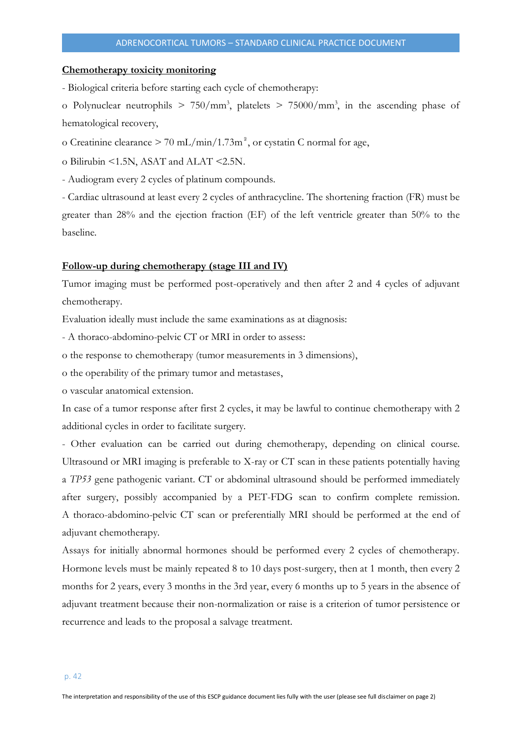#### **Chemotherapy toxicity monitoring**

- Biological criteria before starting each cycle of chemotherapy:

o Polynuclear neutrophils  $> 750/\text{mm}^3$ , platelets  $> 75000/\text{mm}^3$ , in the ascending phase of hematological recovery,

o Creatinine clearance  $> 70$  mL/min/1.73m<sup>2</sup>, or cystatin C normal for age,

o Bilirubin <1.5N, ASAT and ALAT <2.5N.

- Audiogram every 2 cycles of platinum compounds.

- Cardiac ultrasound at least every 2 cycles of anthracycline. The shortening fraction (FR) must be greater than 28% and the ejection fraction (EF) of the left ventricle greater than 50% to the baseline.

#### **Follow-up during chemotherapy (stage III and IV)**

Tumor imaging must be performed post-operatively and then after 2 and 4 cycles of adjuvant chemotherapy.

Evaluation ideally must include the same examinations as at diagnosis:

- A thoraco-abdomino-pelvic CT or MRI in order to assess:

o the response to chemotherapy (tumor measurements in 3 dimensions),

o the operability of the primary tumor and metastases,

o vascular anatomical extension.

In case of a tumor response after first 2 cycles, it may be lawful to continue chemotherapy with 2 additional cycles in order to facilitate surgery.

- Other evaluation can be carried out during chemotherapy, depending on clinical course. Ultrasound or MRI imaging is preferable to X-ray or CT scan in these patients potentially having a *TP53* gene pathogenic variant. CT or abdominal ultrasound should be performed immediately after surgery, possibly accompanied by a PET-FDG scan to confirm complete remission. A thoraco-abdomino-pelvic CT scan or preferentially MRI should be performed at the end of adjuvant chemotherapy.

Assays for initially abnormal hormones should be performed every 2 cycles of chemotherapy. Hormone levels must be mainly repeated 8 to 10 days post-surgery, then at 1 month, then every 2 months for 2 years, every 3 months in the 3rd year, every 6 months up to 5 years in the absence of adjuvant treatment because their non-normalization or raise is a criterion of tumor persistence or recurrence and leads to the proposal a salvage treatment.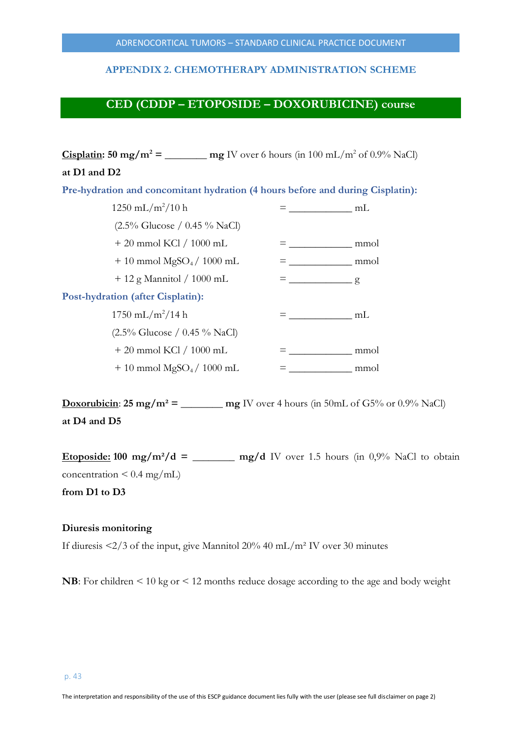## **APPENDIX 2. CHEMOTHERAPY ADMINISTRATION SCHEME**

## **CED (CDDP – ETOPOSIDE – DOXORUBICINE) course**

| at D1 and D2                                                                   |  |                                                                                                                                                                                                                                                                                                                                                                                                                                 |  |
|--------------------------------------------------------------------------------|--|---------------------------------------------------------------------------------------------------------------------------------------------------------------------------------------------------------------------------------------------------------------------------------------------------------------------------------------------------------------------------------------------------------------------------------|--|
| Pre-hydration and concomitant hydration (4 hours before and during Cisplatin): |  |                                                                                                                                                                                                                                                                                                                                                                                                                                 |  |
| $1250 \text{ mL/m}^2/10 \text{ h}$                                             |  | $\frac{1}{\sqrt{1-\frac{1}{2}}}\frac{1}{\sqrt{1-\frac{1}{2}}}\frac{1}{\sqrt{1-\frac{1}{2}}}\frac{1}{\sqrt{1-\frac{1}{2}}}\frac{1}{\sqrt{1-\frac{1}{2}}}\frac{1}{\sqrt{1-\frac{1}{2}}}\frac{1}{\sqrt{1-\frac{1}{2}}}\frac{1}{\sqrt{1-\frac{1}{2}}}\frac{1}{\sqrt{1-\frac{1}{2}}}\frac{1}{\sqrt{1-\frac{1}{2}}}\frac{1}{\sqrt{1-\frac{1}{2}}}\frac{1}{\sqrt{1-\frac{1}{2}}}\frac{1}{\sqrt{1-\frac{1}{2}}}\frac{1}{\sqrt{1-\frac{$ |  |
| $(2.5\% \text{ Glucose } / 0.45\% \text{ NaCl})$                               |  |                                                                                                                                                                                                                                                                                                                                                                                                                                 |  |
| $+20$ mmol KCl / 1000 mL                                                       |  | mmol                                                                                                                                                                                                                                                                                                                                                                                                                            |  |
| $+10$ mmol MgSO <sub>4</sub> / 1000 mL                                         |  | mmol                                                                                                                                                                                                                                                                                                                                                                                                                            |  |
| $+12$ g Mannitol / 1000 mL                                                     |  | $\frac{1}{8}$                                                                                                                                                                                                                                                                                                                                                                                                                   |  |
| <b>Post-hydration (after Cisplatin):</b>                                       |  |                                                                                                                                                                                                                                                                                                                                                                                                                                 |  |
| $1750 \text{ mL/m}^2/14 \text{ h}$                                             |  | mL                                                                                                                                                                                                                                                                                                                                                                                                                              |  |
| $(2.5\% \text{ Glucose } / 0.45\% \text{ NaCl})$                               |  |                                                                                                                                                                                                                                                                                                                                                                                                                                 |  |
| $+20$ mmol KCl / 1000 mL                                                       |  | mmol                                                                                                                                                                                                                                                                                                                                                                                                                            |  |
| $+10$ mmol MgSO <sub>4</sub> / 1000 mL                                         |  | mmol                                                                                                                                                                                                                                                                                                                                                                                                                            |  |

**Doxorubicin**:  $25 \text{ mg/m}^2 = \text{mg/V over 4 hours (in 50mL of G5% or 0.9% NaCl)}$ **at D4 and D5** 

**Etoposide:** 100 mg/m<sup>2</sup>/d = \_\_\_\_\_\_\_\_\_ mg/d IV over 1.5 hours (in 0,9% NaCl to obtain concentration  $\leq 0.4$  mg/mL)

**from D1 to D3**

## **Diuresis monitoring**

If diuresis <2/3 of the input, give Mannitol 20% 40 mL/m² IV over 30 minutes

**NB**: For children < 10 kg or < 12 months reduce dosage according to the age and body weight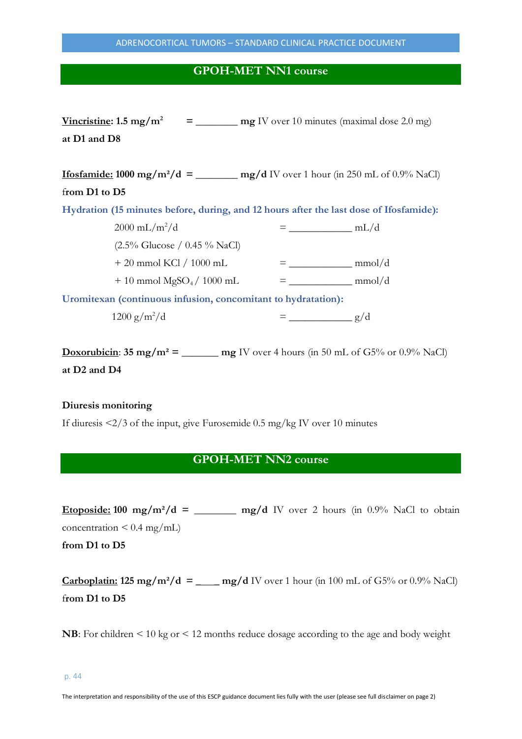## **GPOH-MET NN1 course**

| Vincristine: $1.5 \text{ mg/m}^2$                                                                    | $=$ mg IV over 10 minutes (maximal dose 2.0 mg) |
|------------------------------------------------------------------------------------------------------|-------------------------------------------------|
| at D1 and D8                                                                                         |                                                 |
|                                                                                                      |                                                 |
| <b>Ifosfamide:</b> 1000 mg/m <sup>2</sup> /d = ________ mg/d IV over 1 hour (in 250 mL of 0.9% NaCl) |                                                 |
| from D1 to D5                                                                                        |                                                 |
| Hydration (15 minutes before, during, and 12 hours after the last dose of Ifosfamide):               |                                                 |
| $2000 \text{ mL/m}^2/\text{d}$                                                                       |                                                 |
| $(2.5\% \text{ Glucose } / 0.45\% \text{ NaCl})$                                                     |                                                 |
| $+20$ mmol KCl / 1000 mL                                                                             |                                                 |
| $+10$ mmol MgSO <sub>4</sub> / 1000 mL                                                               |                                                 |
| Uromitexan (continuous infusion, concomitant to hydratation):                                        |                                                 |
| $1200 g/m^2/d$                                                                                       | $\frac{\ }{g/d}$                                |

**Doxorubicin**: **35 mg/m<sup>2</sup> = \_\_\_\_\_\_ mg** IV over 4 hours (in 50 mL of G5% or 0.9% NaCl) **at D2 and D4**

## **Diuresis monitoring**

If diuresis <2/3 of the input, give Furosemide 0.5 mg/kg IV over 10 minutes

## **GPOH-MET NN2 course**

**Etoposide:** 100 mg/m<sup>2</sup>/d = \_\_\_\_\_\_ mg/d IV over 2 hours (in  $0.9\%$  NaCl to obtain concentration  $\leq 0.4$  mg/mL)

**from D1 to D5**

**Carboplatin:** 125 mg/m<sup>2</sup>/d = \_\_\_\_ mg/d IV over 1 hour (in 100 mL of G5% or 0.9% NaCl) f**rom D1 to D5**

**NB**: For children < 10 kg or < 12 months reduce dosage according to the age and body weight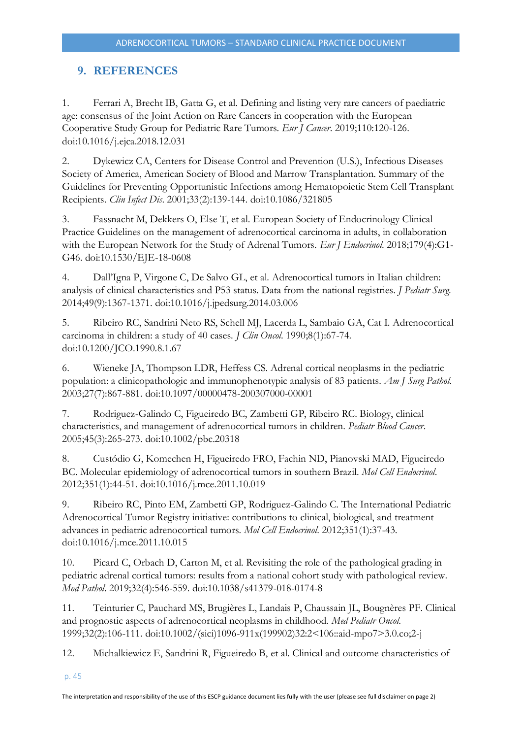## <span id="page-44-0"></span>**9. REFERENCES**

1. Ferrari A, Brecht IB, Gatta G, et al. Defining and listing very rare cancers of paediatric age: consensus of the Joint Action on Rare Cancers in cooperation with the European Cooperative Study Group for Pediatric Rare Tumors. *Eur J Cancer*. 2019;110:120-126. doi:10.1016/j.ejca.2018.12.031

2. Dykewicz CA, Centers for Disease Control and Prevention (U.S.), Infectious Diseases Society of America, American Society of Blood and Marrow Transplantation. Summary of the Guidelines for Preventing Opportunistic Infections among Hematopoietic Stem Cell Transplant Recipients. *Clin Infect Dis*. 2001;33(2):139-144. doi:10.1086/321805

3. Fassnacht M, Dekkers O, Else T, et al. European Society of Endocrinology Clinical Practice Guidelines on the management of adrenocortical carcinoma in adults, in collaboration with the European Network for the Study of Adrenal Tumors. *Eur J Endocrinol*. 2018;179(4):G1- G46. doi:10.1530/EJE-18-0608

4. Dall'Igna P, Virgone C, De Salvo GL, et al. Adrenocortical tumors in Italian children: analysis of clinical characteristics and P53 status. Data from the national registries. *J Pediatr Surg*. 2014;49(9):1367-1371. doi:10.1016/j.jpedsurg.2014.03.006

5. Ribeiro RC, Sandrini Neto RS, Schell MJ, Lacerda L, Sambaio GA, Cat I. Adrenocortical carcinoma in children: a study of 40 cases. *J Clin Oncol*. 1990;8(1):67-74. doi:10.1200/JCO.1990.8.1.67

6. Wieneke JA, Thompson LDR, Heffess CS. Adrenal cortical neoplasms in the pediatric population: a clinicopathologic and immunophenotypic analysis of 83 patients. *Am J Surg Pathol*. 2003;27(7):867-881. doi:10.1097/00000478-200307000-00001

7. Rodriguez-Galindo C, Figueiredo BC, Zambetti GP, Ribeiro RC. Biology, clinical characteristics, and management of adrenocortical tumors in children. *Pediatr Blood Cancer*. 2005;45(3):265-273. doi:10.1002/pbc.20318

8. Custódio G, Komechen H, Figueiredo FRO, Fachin ND, Pianovski MAD, Figueiredo BC. Molecular epidemiology of adrenocortical tumors in southern Brazil. *Mol Cell Endocrinol*. 2012;351(1):44-51. doi:10.1016/j.mce.2011.10.019

9. Ribeiro RC, Pinto EM, Zambetti GP, Rodriguez-Galindo C. The International Pediatric Adrenocortical Tumor Registry initiative: contributions to clinical, biological, and treatment advances in pediatric adrenocortical tumors. *Mol Cell Endocrinol*. 2012;351(1):37-43. doi:10.1016/j.mce.2011.10.015

10. Picard C, Orbach D, Carton M, et al. Revisiting the role of the pathological grading in pediatric adrenal cortical tumors: results from a national cohort study with pathological review. *Mod Pathol*. 2019;32(4):546-559. doi:10.1038/s41379-018-0174-8

11. Teinturier C, Pauchard MS, Brugières L, Landais P, Chaussain JL, Bougnères PF. Clinical and prognostic aspects of adrenocortical neoplasms in childhood. *Med Pediatr Oncol*. 1999;32(2):106-111. doi:10.1002/(sici)1096-911x(199902)32:2<106::aid-mpo7>3.0.co;2-j

12. Michalkiewicz E, Sandrini R, Figueiredo B, et al. Clinical and outcome characteristics of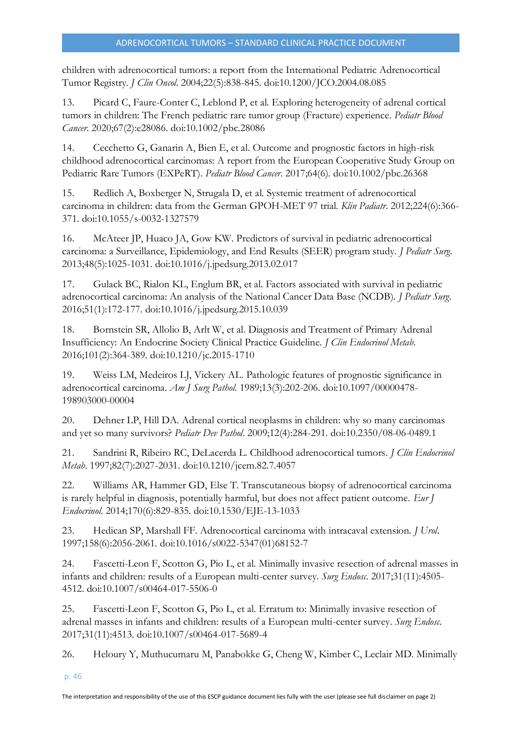children with adrenocortical tumors: a report from the International Pediatric Adrenocortical Tumor Registry. *J Clin Oncol*. 2004;22(5):838-845. doi:10.1200/JCO.2004.08.085

13. Picard C, Faure-Conter C, Leblond P, et al. Exploring heterogeneity of adrenal cortical tumors in children: The French pediatric rare tumor group (Fracture) experience. *Pediatr Blood Cancer*. 2020;67(2):e28086. doi:10.1002/pbc.28086

14. Cecchetto G, Ganarin A, Bien E, et al. Outcome and prognostic factors in high-risk childhood adrenocortical carcinomas: A report from the European Cooperative Study Group on Pediatric Rare Tumors (EXPeRT). *Pediatr Blood Cancer*. 2017;64(6). doi:10.1002/pbc.26368

15. Redlich A, Boxberger N, Strugala D, et al. Systemic treatment of adrenocortical carcinoma in children: data from the German GPOH-MET 97 trial. *Klin Padiatr*. 2012;224(6):366- 371. doi:10.1055/s-0032-1327579

16. McAteer JP, Huaco JA, Gow KW. Predictors of survival in pediatric adrenocortical carcinoma: a Surveillance, Epidemiology, and End Results (SEER) program study. *J Pediatr Surg*. 2013;48(5):1025-1031. doi:10.1016/j.jpedsurg.2013.02.017

17. Gulack BC, Rialon KL, Englum BR, et al. Factors associated with survival in pediatric adrenocortical carcinoma: An analysis of the National Cancer Data Base (NCDB). *J Pediatr Surg*. 2016;51(1):172-177. doi:10.1016/j.jpedsurg.2015.10.039

18. Bornstein SR, Allolio B, Arlt W, et al. Diagnosis and Treatment of Primary Adrenal Insufficiency: An Endocrine Society Clinical Practice Guideline. *J Clin Endocrinol Metab*. 2016;101(2):364-389. doi:10.1210/jc.2015-1710

19. Weiss LM, Medeiros LJ, Vickery AL. Pathologic features of prognostic significance in adrenocortical carcinoma. *Am J Surg Pathol*. 1989;13(3):202-206. doi:10.1097/00000478- 198903000-00004

20. Dehner LP, Hill DA. Adrenal cortical neoplasms in children: why so many carcinomas and yet so many survivors? *Pediatr Dev Pathol*. 2009;12(4):284-291. doi:10.2350/08-06-0489.1

21. Sandrini R, Ribeiro RC, DeLacerda L. Childhood adrenocortical tumors. *J Clin Endocrinol Metab*. 1997;82(7):2027-2031. doi:10.1210/jcem.82.7.4057

22. Williams AR, Hammer GD, Else T. Transcutaneous biopsy of adrenocortical carcinoma is rarely helpful in diagnosis, potentially harmful, but does not affect patient outcome. *Eur J Endocrinol*. 2014;170(6):829-835. doi:10.1530/EJE-13-1033

23. Hedican SP, Marshall FF. Adrenocortical carcinoma with intracaval extension. *J Urol*. 1997;158(6):2056-2061. doi:10.1016/s0022-5347(01)68152-7

24. Fascetti-Leon F, Scotton G, Pio L, et al. Minimally invasive resection of adrenal masses in infants and children: results of a European multi-center survey. *Surg Endosc*. 2017;31(11):4505- 4512. doi:10.1007/s00464-017-5506-0

25. Fascetti-Leon F, Scotton G, Pio L, et al. Erratum to: Minimally invasive resection of adrenal masses in infants and children: results of a European multi-center survey. *Surg Endosc*. 2017;31(11):4513. doi:10.1007/s00464-017-5689-4

26. Heloury Y, Muthucumaru M, Panabokke G, Cheng W, Kimber C, Leclair MD. Minimally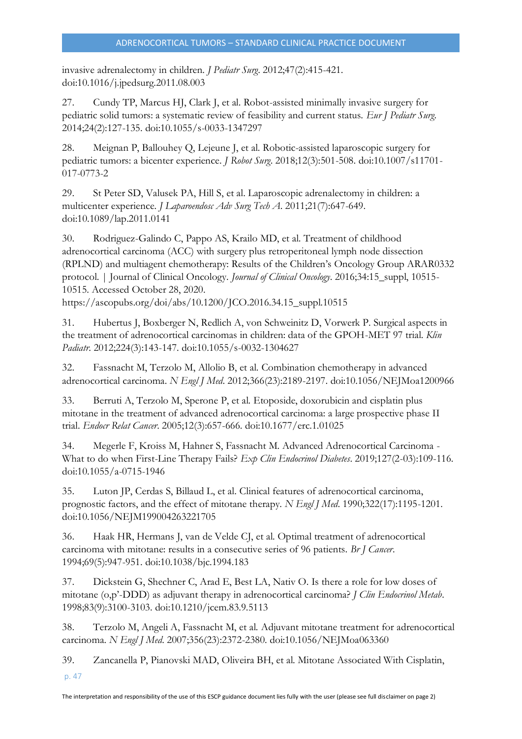invasive adrenalectomy in children. *J Pediatr Surg*. 2012;47(2):415-421. doi:10.1016/j.jpedsurg.2011.08.003

27. Cundy TP, Marcus HJ, Clark J, et al. Robot-assisted minimally invasive surgery for pediatric solid tumors: a systematic review of feasibility and current status. *Eur J Pediatr Surg*. 2014;24(2):127-135. doi:10.1055/s-0033-1347297

28. Meignan P, Ballouhey Q, Lejeune J, et al. Robotic-assisted laparoscopic surgery for pediatric tumors: a bicenter experience. *J Robot Surg*. 2018;12(3):501-508. doi:10.1007/s11701- 017-0773-2

29. St Peter SD, Valusek PA, Hill S, et al. Laparoscopic adrenalectomy in children: a multicenter experience. *J Laparoendosc Adv Surg Tech A*. 2011;21(7):647-649. doi:10.1089/lap.2011.0141

30. Rodriguez-Galindo C, Pappo AS, Krailo MD, et al. Treatment of childhood adrenocortical carcinoma (ACC) with surgery plus retroperitoneal lymph node dissection (RPLND) and multiagent chemotherapy: Results of the Children's Oncology Group ARAR0332 protocol. | Journal of Clinical Oncology. *Journal of Clinical Oncology*. 2016;34:15\_suppl, 10515- 10515. Accessed October 28, 2020.

https://ascopubs.org/doi/abs/10.1200/JCO.2016.34.15\_suppl.10515

31. Hubertus J, Boxberger N, Redlich A, von Schweinitz D, Vorwerk P. Surgical aspects in the treatment of adrenocortical carcinomas in children: data of the GPOH-MET 97 trial. *Klin Padiatr*. 2012;224(3):143-147. doi:10.1055/s-0032-1304627

32. Fassnacht M, Terzolo M, Allolio B, et al. Combination chemotherapy in advanced adrenocortical carcinoma. *N Engl J Med*. 2012;366(23):2189-2197. doi:10.1056/NEJMoa1200966

33. Berruti A, Terzolo M, Sperone P, et al. Etoposide, doxorubicin and cisplatin plus mitotane in the treatment of advanced adrenocortical carcinoma: a large prospective phase II trial. *Endocr Relat Cancer*. 2005;12(3):657-666. doi:10.1677/erc.1.01025

34. Megerle F, Kroiss M, Hahner S, Fassnacht M. Advanced Adrenocortical Carcinoma - What to do when First-Line Therapy Fails? *Exp Clin Endocrinol Diabetes*. 2019;127(2-03):109-116. doi:10.1055/a-0715-1946

35. Luton JP, Cerdas S, Billaud L, et al. Clinical features of adrenocortical carcinoma, prognostic factors, and the effect of mitotane therapy. *N Engl J Med*. 1990;322(17):1195-1201. doi:10.1056/NEJM199004263221705

36. Haak HR, Hermans J, van de Velde CJ, et al. Optimal treatment of adrenocortical carcinoma with mitotane: results in a consecutive series of 96 patients. *Br J Cancer*. 1994;69(5):947-951. doi:10.1038/bjc.1994.183

37. Dickstein G, Shechner C, Arad E, Best LA, Nativ O. Is there a role for low doses of mitotane (o,p'-DDD) as adjuvant therapy in adrenocortical carcinoma? *J Clin Endocrinol Metab*. 1998;83(9):3100-3103. doi:10.1210/jcem.83.9.5113

38. Terzolo M, Angeli A, Fassnacht M, et al. Adjuvant mitotane treatment for adrenocortical carcinoma. *N Engl J Med*. 2007;356(23):2372-2380. doi:10.1056/NEJMoa063360

39. Zancanella P, Pianovski MAD, Oliveira BH, et al. Mitotane Associated With Cisplatin,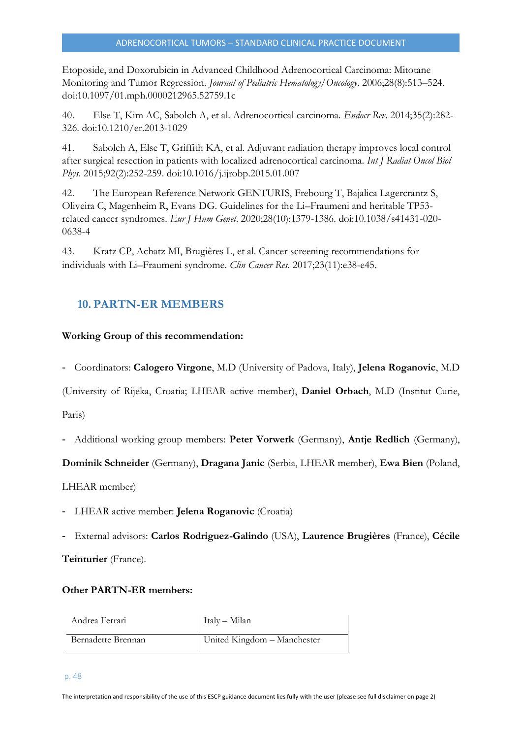Etoposide, and Doxorubicin in Advanced Childhood Adrenocortical Carcinoma: Mitotane Monitoring and Tumor Regression. *Journal of Pediatric Hematology/Oncology*. 2006;28(8):513–524. doi:10.1097/01.mph.0000212965.52759.1c

40. Else T, Kim AC, Sabolch A, et al. Adrenocortical carcinoma. *Endocr Rev*. 2014;35(2):282- 326. doi:10.1210/er.2013-1029

41. Sabolch A, Else T, Griffith KA, et al. Adjuvant radiation therapy improves local control after surgical resection in patients with localized adrenocortical carcinoma. *Int J Radiat Oncol Biol Phys*. 2015;92(2):252-259. doi:10.1016/j.ijrobp.2015.01.007

42. The European Reference Network GENTURIS, Frebourg T, Bajalica Lagercrantz S, Oliveira C, Magenheim R, Evans DG. Guidelines for the Li–Fraumeni and heritable TP53 related cancer syndromes. *Eur J Hum Genet*. 2020;28(10):1379-1386. doi:10.1038/s41431-020- 0638-4

43. Kratz CP, Achatz MI, Brugières L, et al. Cancer screening recommendations for individuals with Li–Fraumeni syndrome. *Clin Cancer Res*. 2017;23(11):e38-e45.

## <span id="page-47-0"></span>**10. PARTN-ER MEMBERS**

## **Working Group of this recommendation:**

- Coordinators: **Calogero Virgone**, M.D (University of Padova, Italy), **Jelena Roganovic**, M.D

(University of Rijeka, Croatia; LHEAR active member), **Daniel Orbach**, M.D (Institut Curie,

Paris)

- Additional working group members: **Peter Vorwerk** (Germany), **Antje Redlich** (Germany),

**Dominik Schneider** (Germany), **Dragana Janic** (Serbia, LHEAR member), **Ewa Bien** (Poland,

LHEAR member)

- LHEAR active member: **Jelena Roganovic** (Croatia)
- External advisors: **Carlos Rodriguez-Galindo** (USA), **Laurence Brugières** (France), **Cécile**

**Teinturier** (France).

## **Other PARTN-ER members:**

| Andrea Ferrari     | Italy - Milan               |
|--------------------|-----------------------------|
| Bernadette Brennan | United Kingdom - Manchester |